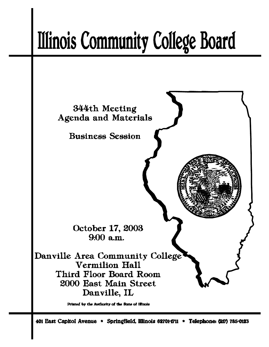# **Illinois Community College Board**



Printed by the Authority of the State of Illinois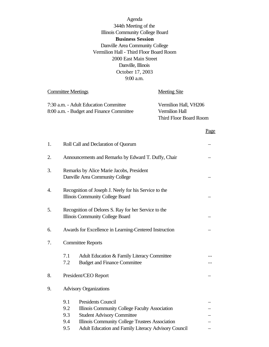Agenda 344th Meeting of the Illinois Community College Board **Business Session** Danville Area Community College Vermilion Hall - Third Floor Board Room 2000 East Main Street Danville, Illinois October 17, 2003 9:00 a.m.

Committee Meetings **Meeting** Site

| 7:30 a.m. - Adult Education Committee    | Vermilion Hall, VH206  |
|------------------------------------------|------------------------|
| 8:00 a.m. - Budget and Finance Committee | Vermilion Hall         |
|                                          | Third Floor Board Room |

### Page

| 1. |                                                                                                  | Roll Call and Declaration of Quorum                                                                                                                                 |  |
|----|--------------------------------------------------------------------------------------------------|---------------------------------------------------------------------------------------------------------------------------------------------------------------------|--|
| 2. |                                                                                                  | Announcements and Remarks by Edward T. Duffy, Chair                                                                                                                 |  |
| 3. | Remarks by Alice Marie Jacobs, President<br>Danville Area Community College                      |                                                                                                                                                                     |  |
| 4. | Recognition of Joseph J. Neely for his Service to the<br><b>Illinois Community College Board</b> |                                                                                                                                                                     |  |
| 5. | Recognition of Delores S. Ray for her Service to the<br>Illinois Community College Board         |                                                                                                                                                                     |  |
| 6. | Awards for Excellence in Learning-Centered Instruction                                           |                                                                                                                                                                     |  |
| 7. | <b>Committee Reports</b>                                                                         |                                                                                                                                                                     |  |
|    | 7.1<br>7.2                                                                                       | Adult Education & Family Literacy Committee<br><b>Budget and Finance Committee</b>                                                                                  |  |
| 8. |                                                                                                  | President/CEO Report                                                                                                                                                |  |
| 9. | <b>Advisory Organizations</b>                                                                    |                                                                                                                                                                     |  |
|    | 9.1<br>9.2<br>9.3<br>9.4                                                                         | <b>Presidents Council</b><br>Illinois Community College Faculty Association<br><b>Student Advisory Committee</b><br>Illinois Community College Trustees Association |  |
|    | 9.5                                                                                              | Adult Education and Family Literacy Advisory Council                                                                                                                |  |
|    |                                                                                                  |                                                                                                                                                                     |  |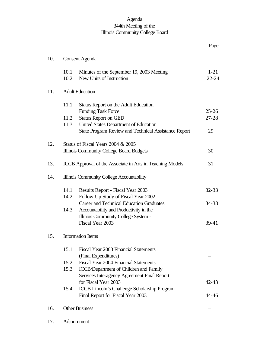# Agenda 344th Meeting of the Illinois Community College Board

|     |                                           |                                                                                               | <u>Page</u>           |
|-----|-------------------------------------------|-----------------------------------------------------------------------------------------------|-----------------------|
| 10. | <b>Consent Agenda</b>                     |                                                                                               |                       |
|     | 10.1<br>10.2                              | Minutes of the September 19, 2003 Meeting<br>New Units of Instruction                         | $1 - 21$<br>$22 - 24$ |
| 11. | <b>Adult Education</b>                    |                                                                                               |                       |
|     | 11.1                                      | Status Report on the Adult Education                                                          |                       |
|     |                                           | <b>Funding Task Force</b>                                                                     | $25 - 26$             |
|     | 11.2<br>11.3                              | <b>Status Report on GED</b>                                                                   | $27 - 28$             |
|     |                                           | United States Department of Education<br>State Program Review and Technical Assistance Report | 29                    |
|     |                                           |                                                                                               |                       |
| 12. |                                           | Status of Fiscal Years 2004 & 2005                                                            |                       |
|     |                                           | Illinois Community College Board Budgets                                                      | 30                    |
|     |                                           |                                                                                               |                       |
| 13. |                                           | ICCB Approval of the Associate in Arts in Teaching Models                                     | 31                    |
| 14. | Illinois Community College Accountability |                                                                                               |                       |
|     | 14.1                                      | Results Report - Fiscal Year 2003                                                             | $32 - 33$             |
|     | 14.2                                      | Follow-Up Study of Fiscal Year 2002                                                           |                       |
|     |                                           | <b>Career and Technical Education Graduates</b>                                               | 34-38                 |
|     | 14.3                                      | Accountability and Productivity in the                                                        |                       |
|     |                                           | Illinois Community College System -                                                           |                       |
|     |                                           | Fiscal Year 2003                                                                              | $39-41$               |
| 15. |                                           | <b>Information Items</b>                                                                      |                       |
|     | 15.1                                      | Fiscal Year 2003 Financial Statements                                                         |                       |
|     |                                           | (Final Expenditures)                                                                          |                       |
|     | 15.2                                      | <b>Fiscal Year 2004 Financial Statements</b>                                                  |                       |
|     | 15.3                                      | <b>ICCB/Department of Children and Family</b>                                                 |                       |
|     |                                           | Services Interagency Agreement Final Report                                                   |                       |
|     |                                           | for Fiscal Year 2003                                                                          | $42 - 43$             |
|     | 15.4                                      | ICCB Lincoln's Challenge Scholarship Program                                                  |                       |
|     |                                           | Final Report for Fiscal Year 2003                                                             | 44-46                 |
| 16. |                                           | <b>Other Business</b>                                                                         |                       |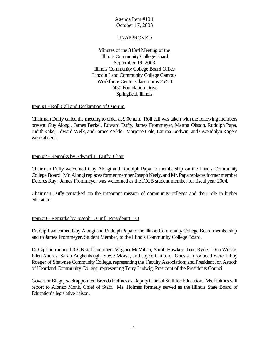## UNAPPROVED

Minutes of the 343rd Meeting of the Illinois Community College Board September 19, 2003 Illinois Community College Board Office Lincoln Land Community College Campus Workforce Center Classrooms 2 & 3 2450 Foundation Drive Springfield, Illinois

#### Item #1 - Roll Call and Declaration of Quorum

Chairman Duffy called the meeting to order at 9:00 a.m. Roll call was taken with the following members present: Guy Alongi, James Berkel, Edward Duffy, James Frommeyer, Martha Olsson, Rudolph Papa, Judith Rake, Edward Welk, and James Zerkle. Marjorie Cole, Laurna Godwin, and Gwendolyn Rogers were absent.

### Item #2 - Remarks by Edward T. Duffy, Chair

Chairman Duffy welcomed Guy Alongi and Rudolph Papa to membership on the Illinois Community College Board. Mr. Alongi replaces former member Joseph Neely, and Mr. Papa replaces former member Delores Ray. James Frommeyer was welcomed as the ICCB student member for fiscal year 2004.

Chairman Duffy remarked on the important mission of community colleges and their role in higher education.

#### Item #3 - Remarks by Joseph J. Cipfl, President/CEO

Dr. Cipfl welcomed Guy Alongi and RudolphPapa to the Illinois Community College Board membership and to James Frommeyer, Student Member, to the Illinois Community College Board.

Dr Cipfl introduced ICCB staff members Virginia McMillan, Sarah Hawker, Tom Ryder, Don Wilske, Ellen Andres, Sarah Aughenbaugh, Steve Morse, and Joyce Chilton. Guests introduced were Libby Roeger of Shawnee Community College, representing the Faculty Association; and President Jon Astroth of Heartland Community College, representing Terry Ludwig, President of the Presidents Council.

Governor Blagojevich appointed Brenda Holmes as Deputy Chief of Staff for Education. Ms. Holmes will report to Alonzo Monk, Chief of Staff. Ms. Holmes formerly served as the Illinois State Board of Education's legislative liaison.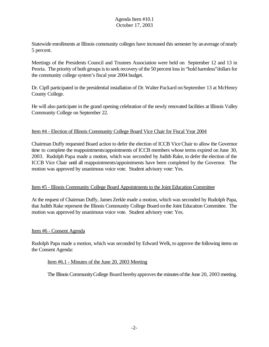Statewide enrollments at Illinois community colleges have increased this semester by an average of nearly 5 percent.

Meetings of the Presidents Council and Trustees Association were held on September 12 and 13 in Peoria. The priority of both groups is to seek recovery of the 50 percent loss in "hold harmless"dollars for the community college system's fiscal year 2004 budget.

Dr. Cipfl participated in the presidential installation of Dr. Walter Packard on September 13 at McHenry County College.

He will also participate in the grand opening celebration of the newly renovated facilities at Illinois Valley Community College on September 22.

### Item #4 - Election of Illinois Community College Board Vice Chair for Fiscal Year 2004

Chairman Duffy requested Board action to defer the election of ICCB ViceChair to allow the Governor time to complete the reappointments/appointments of ICCB members whose terms expired on June 30, 2003. Rudolph Papa made a motion, which was seconded by Judith Rake, to defer the election of the ICCB Vice Chair until all reappointments/appointments have been completed by the Governor. The motion was approved by unanimous voice vote. Student advisory vote: Yes.

# Item #5 - Illinois Community College Board Appointments to the Joint Education Committee

At the request of Chairman Duffy, James Zerkle made a motion, which was seconded by Rudolph Papa, that Judith Rake represent the Illinois Community College Board onthe Joint Education Committee. The motion was approved by unanimous voice vote. Student advisory vote: Yes.

#### Item #6 - Consent Agenda

Rudolph Papa made a motion, which was seconded by Edward Welk, to approve the following items on the Consent Agenda:

#### Item #6.1 - Minutes of the June 20, 2003 Meeting

The Illinois Community College Board hereby approves the minutes of the June 20, 2003 meeting.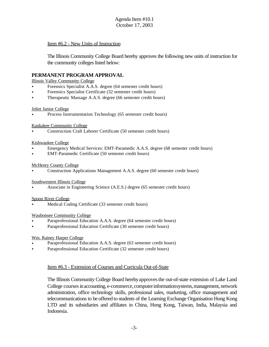### Item #6.2 - New Units of Instruction

The Illinois Community College Board hereby approves the following new units of instruction for the community colleges listed below:

#### **PERMANENT PROGRAM APPROVAL**

Illinois Valley Community College

- < Forensics Specialist A.A.S. degree (64 semester credit hours)
- Forensics Specialist Certificate (32 semester credit hours)
- ▶ Therapeutic Massage A.A.S. degree (66 semester credit hours)

#### Joliet Junior College

< Process Instrumentation Technology (65 semester credit hours)

#### Kankakee Community College

< Construction Craft Laborer Certificate (50 semester credit hours)

#### Kishwaukee College

- < Emergency Medical Services: EMT-Paramedic A.A.S. degree (68 semester credit hours)
- < EMT-Paramedic Certificate (50 semester credit hours)

#### McHenry County College

< Construction Applications Management A.A.S. degree (60 semester credit hours)

#### Southwestern Illinois College

< Associate in Engineering Science (A.E.S.) degree (65 semester credit hours)

#### Spoon River College

Medical Coding Certificate (33 semester credit hours)

#### Waubonsee Community College

- < Paraprofessional Education A.A.S. degree (64 semester credit hours)
- < Paraprofessional Education Certificate (30 semester credit hours)

#### Wm. Rainey Harper College

- < Paraprofessional Education A.A.S. degree (63 semester credit hours)
- < Paraprofessional Education Certificate (32 semester credit hours)

#### Item #6.3 - Extension of Courses and Curricula Out-of-State

The Illinois Community College Board hereby approves the out-of-state extension of Lake Land College courses in accounting, e-commerce, computer informationsystems, management, network administration, office technology skills, professional sales, marketing, office management and telecommunications to be offered to students of the Learning Exchange Organisation Hong Kong LTD and its subsidiaries and affiliates in China, Hong Kong, Taiwan, India, Malaysia and Indonesia.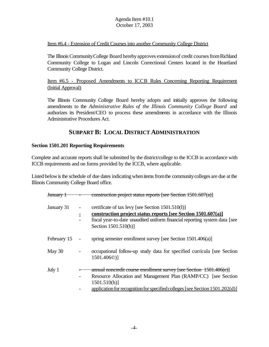#### Item #6.4 - Extension of Credit Courses into another Community College District

The Illinois CommunityCollege Board herebyapproves extensionof credit coursesfromRichland Community College to Logan and Lincoln Correctional Centers located in the Heartland Community College District.

Item #6.5 - Proposed Amendments to ICCB Rules Concerning Reporting Requirement (Initial Approval)

The Illinois Community College Board hereby adopts and initially approves the following amendments to the *Administrative Rules of the Illinois Community College Board* and authorizes its President/CEO to process these amendments in accordance with the Illinois Administrative Procedures Act.

# **SUBPART B: LOCAL DISTRICT ADMINISTRATION**

### **Section 1501.201 Reporting Requirements**

Complete and accurate reports shall be submitted by the district/college to the ICCB in accordance with ICCB requirements and on forms provided by the ICCB, where applicable.

Listed below is the schedule of due dates indicating when items from the community colleges are due at the Illinois Community College Board office.

| <del>January 1</del> | construction project status reports [see Section 1501.607(a)]                                                                                                                                                                            |
|----------------------|------------------------------------------------------------------------------------------------------------------------------------------------------------------------------------------------------------------------------------------|
| January 31           | certificate of tax levy [see Section 1501.510(I)]<br><u>construction project status reports [see Section 1501.607(a)]</u><br>fiscal year-to-date unaudited uniform financial reporting system data [see<br>Section 1501.510(h)]          |
| February 15          | spring semester enrollment survey [see Section 1501.406(a)]                                                                                                                                                                              |
| May 30               | occupational follow-up study data for specified curricula [see Section<br>1501.406 <sup>o</sup> )]                                                                                                                                       |
| July 1               | annual noncredit course enrollment survey [see Section 1501.406(e)]<br>Resource Allocation and Management Plan (RAMP/CC) [see Section<br>$1501.510(b)$ ]<br>application for recognition for specified colleges [see Section 1501.202(d)] |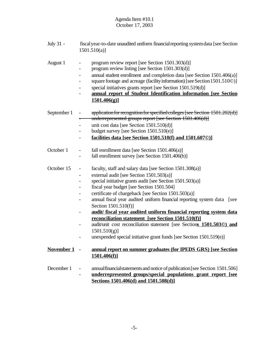July 31 - fiscalyear-to-date unaudited uniform financialreporting systemdata [see Section 1501.510(a)]

# August 1 - program review report [see Section 1501.303(d)]

- program review listing [see Section 1501.303(d)]
	- annual student enrollment and completion data [see Section 1501.406(a)]
	- square footage and acreage (facility information) [see Section 1501.510©)]
	- special initiatives grants report [see Section 1501.519(d)]
	- **annual report of Student Identification information [see Section 1501.406(g)]**
- September 1 application for recognition for specified colleges [see Section 1501.202(d)] underrepresented groups report [see Section 1501.406(d)]
	- unit cost data [see Section 1501.510(d)]
	- budget survey [see Section 1501.510(e)]
	- **facilities data [see Section 1501.510(f) and 1501.607©)]**
- October 1 fall enrollment data [see Section 1501.406(a)]
	- fall enrollment survey [see Section 1501.406(b)]
- October 15 faculty, staff and salary data [see Section 1501.308(a)]
	- external audit [see Section 1501.503(a)]
	- special initiative grants audit [see Section 1501.503(a)]
	- fiscal year budget [see Section 1501.504]
	- certificate of chargeback [see Section 1501.503(a)]
	- annual fiscal year audited uniform financial reporting system data [see Section 1501.510(f)]
	- **audit/ fiscal year audited uniform financial reporting system data reconciliation statement [see Section 1501.510(f)]**
	- audit/unit cost reconciliation statement [see Section**s 1501.503©) and**  $1501.510(g)$ ]
	- unexpended special initiative grant funds [see Section 1501.519(e)]

# **November 1** - **annual report on summer graduates (for IPEDS GRS) [see Section 1501.406(f)]**

December 1 - annual financial statements and notice of publication [see Section 1501.506] - **underrepresented groups/special populations grant report [see Sections 1501.406(d) and 1501.508(d)]**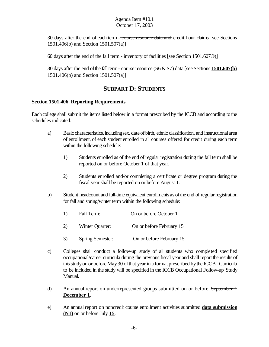30 days after the end of each term - course resource data and credit hour claims [see Sections 1501.406(b) and Section 1501.507(a)]

60 days after the end of the fall term - inventory of facilities [see Section 1501.607©)]

30 days after the end ofthe fallterm- course resource (S6 & S7) data [see Sections **1501.607(b)**  $1501.406(b)$  and Section  $1501.507(a)$ ]

# **SUBPART D: STUDENTS**

#### **Section 1501.406 Reporting Requirements**

Each college shall submit the items listed below in a format prescribed by the ICCB and according to the schedules indicated.

- a) Basic characteristics,includingsex, dateofbirth, ethnic classification, and instructionalarea of enrollment, of each student enrolled in all courses offered for credit during each term within the following schedule:
	- 1) Students enrolled as of the end of regular registration during the fall term shall be reported on or before October 1 of that year.
	- 2) Students enrolled and/or completing a certificate or degree program during the fiscal year shall be reported on or before August 1.
- b) Student headcount and full-time equivalent enrollments as of the end of regular registration for fall and spring/winter term within the following schedule:
	- 1) Fall Term: On or before October 1
	- 2) Winter Quarter: On or before February 15
	- 3) Spring Semester: On or before February 15
- c) Colleges shall conduct a follow-up study of all students who completed specified occupational/career curricula during the previous fiscal year and shall report the results of thisstudyonor before May30 ofthat year in a format prescribed bythe ICCB. Curricula to be included in the study will be specified in the ICCB Occupational Follow-up Study Manual.
- d) An annual report on underrepresented groups submitted on or before September 1 **December 1**.
- e) An annual report on noncredit course enrollment activities submitted **data submission (N1)** on or before July **15**.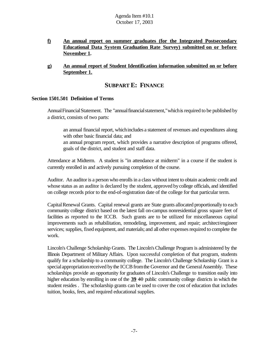- **f) An annual report on summer graduates (for the Integrated Postsecondary Educational Data System Graduation Rate Survey) submitted on or before November 1.**
- **g) An annual report of Student Identification information submitted on or before September 1.**

# **SUBPART E: FINANCE**

#### **Section 1501.501 Definition of Terms**

Annual Financial Statement. The "annual financial statement," which is required to be published by a district, consists of two parts:

an annual financial report, whichincludes a statement of revenues and expenditures along with other basic financial data; and

an annual program report, which provides a narrative description of programs offered, goals of the district, and student and staff data.

Attendance at Midterm. A student is "in attendance at midterm" in a course if the student is currently enrolled in and actively pursuing completion of the course.

Auditor. An auditor is a person who enrolls in a class without intent to obtain academic credit and whose status as an auditor is declared by the student, approved bycollege officials, and identified on college records prior to the end-of-registration date of the college for that particular term.

Capital Renewal Grants. Capital renewal grants are State grants allocated proportionally to each community college district based on the latest fall on-campus nonresidential gross square feet of facilities as reported to the ICCB. Such grants are to be utilized for miscellaneous capital improvements such as rehabilitation, remodeling, improvement, and repair; architect/engineer services; supplies, fixed equipment, and materials; and all other expenses required to complete the work.

Lincoln's Challenge Scholarship Grants. The Lincoln'sChallenge Program is administered by the Illinois Department of Military Affairs. Upon successful completion of that program, students qualify for a scholarship to a community college. The Lincoln's Challenge Scholarship Grant is a special appropriation received by the ICCB from the Governor and the General Assembly. These scholarships provide an opportunity for graduates of Lincoln's Challenge to transition easily into higher education by enrolling in one of the **39** 40 public community college districts in which the student resides . The scholarship grants can be used to cover the cost of education that includes tuition, books, fees, and required educational supplies.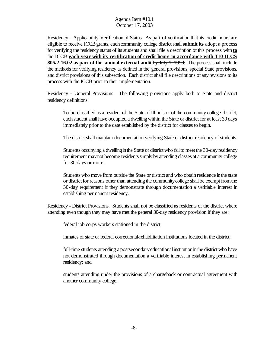Residency - Applicability-Verification of Status. As part of verification that its credit hours are eligible to receive ICCBgrants, eachcommunity college district shall **submit its** adopt a process for verifying the residency status of its students and shall file a description of this process with **to** the ICCB **each year with its certification of credit hours in accordance with 110 ILCS 805/2-16.02 as part of the annual external audit** by July 1, 1990. The process shall include the methods for verifying residency as defined in the general provisions, special State provisions, and district provisions of this subsection. Each district shall file descriptions of any revisions to its process with the ICCB prior to their implementation.

Residency - General Provisions. The following provisions apply both to State and district residency definitions:

To be classified as a resident of the State of Illinois or of the community college district, each student shall have occupied a dwelling within the State or district for at least 30 days immediately prior to the date established by the district for classes to begin.

The district shall maintain documentation verifying State or district residency of students.

Students occupying a dwelling in the State or district who fail to meet the 30-day residency requirement may not become residents simply by attending classes at a community college for 30 days or more.

Students who move from outside the State or district and who obtain residence inthe state or district for reasons other than attending the community college shall be exempt from the 30-day requirement if they demonstrate through documentation a verifiable interest in establishing permanent residency.

Residency - District Provisions. Students shall not be classified as residents of the district where attending even though they may have met the general 30-day residency provision if they are:

federal job corps workers stationed in the district;

inmates of state or federal correctional/rehabilitation institutions located in the district;

full-time students attending a postsecondary educational institution in the district who have not demonstrated through documentation a verifiable interest in establishing permanent residency; and

students attending under the provisions of a chargeback or contractual agreement with another community college.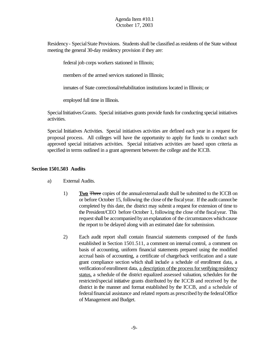Residency- SpecialState Provisions. Students shall be classified as residents of the State without meeting the general 30-day residency provision if they are:

federal job corps workers stationed in Illinois;

members of the armed services stationed in Illinois;

inmates of State correctional/rehabilitation institutions located in Illinois; or

employed full time in Illinois.

Special Initiatives Grants. Special initiatives grants provide funds for conducting special initiatives activities.

Special Initiatives Activities. Special initiatives activities are defined each year in a request for proposal process. All colleges will have the opportunity to apply for funds to conduct such approved special initiatives activities. Special initiatives activities are based upon criteria as specified in terms outlined in a grant agreement between the college and the ICCB.

### **Section 1501.503 Audits**

- a) External Audits.
	- 1) **Two** Three copies of the annualexternalaudit shall be submitted to the ICCB on or before October 15, following the close ofthe fiscalyear. If the audit cannot be completed by this date, the district may submit a request for extension of time to the President/CEO before October 1, following the close ofthe fiscalyear. This request shall be accompanied by an explanation of the circumstances which cause the report to be delayed along with an estimated date for submission.
	- 2) Each audit report shall contain financial statements composed of the funds established in Section 1501.511, a comment on internal control, a comment on basis of accounting, uniform financial statements prepared using the modified accrual basis of accounting, a certificate of chargeback verification and a state grant compliance section which shall include a schedule of enrollment data, a verification of enrollment data, a description of the process for verifying residency status, a schedule of the district equalized assessed valuation, schedules for the restricted/special initiative grants distributed by the ICCB and received by the district in the manner and format established by the ICCB, and a schedule of federal financial assistance and related reports as prescribed by the federal Office of Management and Budget.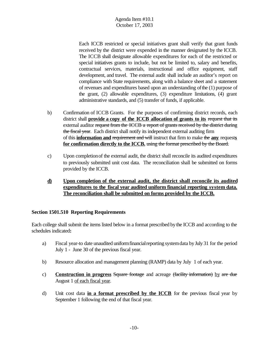Each ICCB restricted or special initiatives grant shall verify that grant funds received by the district were expended in the manner designated by the ICCB. The ICCB shall designate allowable expenditures for each of the restricted or special initiatives grants to include, but not be limited to, salary and benefits, contractual services, materials, instructional and office equipment, staff development, and travel. The external audit shall include an auditor's report on compliance with State requirements, along with a balance sheet and a statement of revenues and expenditures based upon an understanding ofthe (1) purpose of the grant, (2) allowable expenditures, (3) expenditure limitations, (4) grant administrative standards, and (5) transfer of funds, if applicable.

- b) Confirmation of ICCB Grants. For the purposes of confirming district records, each district shall **provide a copy of the ICCB allocation of grants to its** request that its external auditor request from the ICCB a report of grants received by the district during the fiscal year. Each district shall notify its independent external auditing firm of this **information and** requirement and will instruct that firm to make the **any** request**s for confirmation directly to the ICCB.** using the format prescribed by the Board.
- c) Upon completionof the external audit, the district shall reconcile its audited expenditures to previously submitted unit cost data. The reconciliation shall be submitted on forms provided by the ICCB.
- **d) Upon completion of the external audit, the district shall reconcile its audited expenditures to the fiscal year audited uniform financial reporting system data. The reconciliation shall be submitted on forms provided by the ICCB.**

# **Section 1501.510 Reporting Requirements**

Each college shall submit the items listed below in a format prescribed bythe ICCB and according to the schedules indicated**:**

- a) Fiscal year-to date unaudited uniform financial reporting system data by July 31 for the period July 1 - June 30 of the previous fiscal year.
- b) Resource allocation and management planning (RAMP) data by July 1 of each year.
- c) **Construction in progress** Square footage and acreage (facility information) by are due August 1 of each fiscal year.
- d) Unit cost data **in a format prescribed by the ICCB** for the previous fiscal year by September 1 following the end of that fiscal year.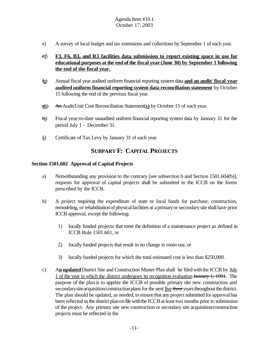e) A survey of local budget and tax extensions and collections by September 1 of each year.

# ef) **F3, F6, B3, and R3 facilities data submission to report existing space in use for educational purposes at the end of the fiscal year (June 30) by September 1 following the end of the fiscal year.**

- fg) Annual fiscal year audited uniform financial reporting system data **and an audit/ fiscal year audited uniform financial reporting system data reconciliation statement** by October 15 following the end of the previous fiscal year.
- gh) An Audit/Unit Cost Reconciliation Statement(**s)** by October 15 of each year.
- hi) Fiscal year-to-date unaudited uniform financial reporting system data by January 31 for the period July 1 - December 31.
- ij) Certificate of Tax Levy by January 31 of each year.

# **SUBPART F: CAPITAL PROJECTS**

#### **Section 1501.602 Approval of Capital Projects**

- a) Notwithstanding any provision to the contrary [see subsection b and Section 1501.604(b)], requests for approval of capital projects shall be submitted to the ICCB on the forms prescribed by the ICCB.
- b) A project requiring the expenditure of state or local funds for purchase, construction, remodeling, or rehabilitation of physical facilities at a primary or secondary site shall have prior ICCB approval, except the following:
	- 1) locally funded projects that meet the definition of a maintenance project as defined in ICCB Rule 1501.601, or
	- 2) locally funded projects that result in no change in room use, or
	- 3) locally funded projects for which the total estimated cost is less than \$250,000.
- c) A**n updated** District Site and Construction Master Plan shall be filed withthe ICCB by July 1 of the year in which the district undergoes its recognition evaluation January 1, 1991. The purpose of the plan is to apprize the ICCB of possible primary site new construction and secondary site acquisition/construction plans for the next five three years throughout the district. The plan should be updated, as needed, to ensure that any project submitted for approval has been reflected in the district plan on file with the ICCB at least two months prior to submission of the project. Any primary site new construction or secondary site acquisition/construction projects must be reflected in the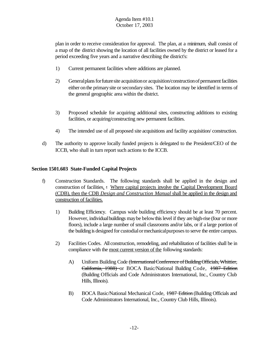plan in order to receive consideration for approval. The plan, at a minimum, shall consist of a map of the district showing the location of all facilities owned by the district or leased for a period exceeding five years and a narrative describing the district's:

- 1) Current permanent facilities where additions are planned.
- 2) General plans for future site acquisition or acquisition/construction of permanent facilities either onthe primarysite orsecondarysites. The location may be identified in terms of the general geographic area within the district.
- 3) Proposed schedule for acquiring additional sites, constructing additions to existing facilities, or acquiring/constructing new permanent facilities.
- 4) The intended use of all proposed site acquisitions and facility acquisition/ construction.
- d) The authority to approve locally funded projects is delegated to the President/CEO of the ICCB, who shall in turn report such actions to the ICCB.

# **Section 1501.603 State-Funded Capital Projects**

- f) Construction Standards. The following standards shall be applied in the design and construction of facilities. : Where capital projects involve the Capital Development Board (CDB), then the CDB *Design and Construction Manual* shall be applied in the design and construction of facilities.
	- 1) Building Efficiency. Campus wide building efficiency should be at least 70 percent. However, individual buildings may be below this level if they are high-rise (four or more floors), include a large number of small classrooms and/or labs, or if a large portion of the building is designed for custodialormechanicalpurposesto serve the entire campus.
	- 2) Facilities Codes. All construction, remodeling, and rehabilitation of facilities shall be in compliance with the most current version of the following standards:
		- A) Uniform Building Code (International Conference of Building Officials, Whittier, California, 1988) or BOCA Basic/National Building Code, 1987 Edition (Building Officials and Code Administrators International, Inc., Country Club Hills, Illinois).
		- B) BOCA Basic/National Mechanical Code, 1987 Edition (Building Officials and Code Administrators International, Inc., Country Club Hills, Illinois).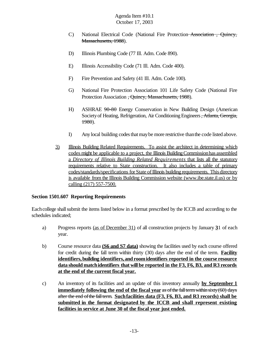- C) National Electrical Code (National Fire Protection Association , Quincy, Massachusetts, 1988).
- D) Illinois Plumbing Code (77 Ill. Adm. Code 890).
- E) Illinois Accessibility Code (71 Ill. Adm. Code 400).
- F) Fire Prevention and Safety (41 Ill. Adm. Code 100).
- G) National Fire Protection Association 101 Life Safety Code (National Fire Protection Association <del>, Quincy, Massachusetts, 1988</del>).
- H) ASHRAE  $90-80$  Energy Conservation in New Building Design (American Society of Heating, Refrigeration, Air Conditioning Engineers, Atlanta, Georgia, 1980).
- I) Any local building codes that may be more restrictive than the code listed above.
- 3) Illinois Building Related Requirements. To assist the architect in determining which codes might be applicable to a project, the Illinois BuildingCommissionhas assembled a *Directory of Illinois Building Related Requirements* that lists all the statutory requirements relative to State construction. It also includes a table of primary codes/standards/specifications for State of Illinois building requirements. This directory is available from the Illinois Building Commission website (www.ibe.state.il.us) or by calling (217) 557-7500.

# **Section 1501.607 Reporting Requirements**

Each college shall submit the items listed below in a format prescribed by the ICCB and according to the schedules indicated;

- a) Progress reports (as of December 31) of all construction projects by January **3**1 of each year.
- b) Course resource data **(S6 and S7 data)** showing the facilities used by each course offered for credit during the fall term within thirty (30) days after the end of the term. **Facility identifiers,building identifiers,and roomidentifiers reported in the course resource data should matchidentifiers that will be reported in the F3, F6, B3, and R3 records at the end of the current fiscal year.**
- c) An inventory of its facilities and an update of this inventory annually **by September 1 immediately following the end of the fiscal year** as of the fall term within sixty (60) days after the end ofthe fallterm. **Suchfacilities data (F3, F6, B3, and R3 records) shall be submitted in the format designated by the ICCB and shall represent existing facilities in service at June 30 of the fiscal year just ended.**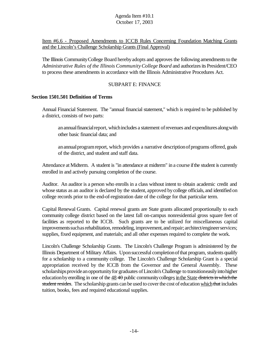Item #6.6 - Proposed Amendments to ICCB Rules Concerning Foundation Matching Grants and the Lincoln's Challenge Scholarship Grants (Final Approval)

The Illinois Community College Board hereby adopts and approves the following amendments to the *Administrative Rules of the Illinois CommunityCollege Board* and authorizesits President/CEO to process these amendments in accordance with the Illinois Administrative Procedures Act.

## SUBPART E: FINANCE

#### **Section 1501.501 Definition of Terms**

Annual Financial Statement. The "annual financial statement," which is required to be published by a district, consists of two parts:

an annual financial report, which includes a statement of revenues and expenditures along with other basic financial data; and

an annual program report, which provides a narrative description of programs offered, goals of the district, and student and staff data.

Attendance at Midterm. A student is "in attendance at midterm" in a course if the student is currently enrolled in and actively pursuing completion of the course.

Auditor. An auditor is a person who enrolls in a class without intent to obtain academic credit and whose status as an auditor is declared by the student, approved bycollege officials, and identified on college records prior to the end-of-registration date of the college for that particular term.

Capital Renewal Grants. Capital renewal grants are State grants allocated proportionally to each community college district based on the latest fall on-campus nonresidential gross square feet of facilities as reported to the ICCB. Such grants are to be utilized for miscellaneous capital improvements such as rehabilitation, remodeling, improvement, and repair; architect/engineer services; supplies, fixed equipment, and materials; and all other expenses required to complete the work.

Lincoln's Challenge Scholarship Grants. The Lincoln's Challenge Program is administered by the Illinois Department of Military Affairs. Uponsuccessful completionofthat program, students qualify for a scholarship to a community college. The Lincoln's Challenge Scholarship Grant is a special appropriation received by the ICCB from the Governor and the General Assembly. These scholarships provide an opportunity for graduates of Lincoln's Challenge to transitioneasily into higher education by enrolling in one of the  $48$  40 public community colleges in the State districts in which the student resides. The scholarship grants can be used to cover the cost of education which that includes tuition, books, fees and required educational supplies.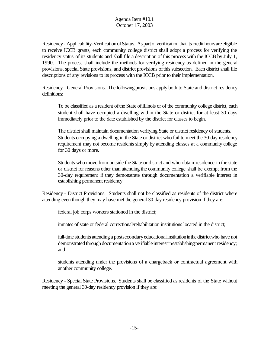Residency - Applicability-Verification of Status. As part of verification that its credit hours are eligible to receive ICCB grants, each community college district shall adopt a process for verifying the residency status of its students and shall file a description of this process with the ICCB by July 1, 1990. The process shall include the methods for verifying residency as defined in the general provisions, special State provisions, and district provisions ofthis subsection. Each district shall file descriptions of any revisions to its process with the ICCB prior to their implementation.

Residency - General Provisions. The following provisions apply both to State and district residency definitions:

To be classified as a resident of the State of Illinois or of the community college district, each student shall have occupied a dwelling within the State or district for at least 30 days immediately prior to the date established by the district for classes to begin.

The district shall maintain documentation verifying State or district residency of students. Students occupying a dwelling in the State or district who fail to meet the 30-day residency requirement may not become residents simply by attending classes at a community college for 30 days or more.

Students who move from outside the State or district and who obtain residence in the state or district for reasons other than attending the community college shall be exempt from the 30-day requirement if they demonstrate through documentation a verifiable interest in establishing permanent residency.

Residency - District Provisions. Students shall not be classified as residents of the district where attending even though they may have met the general 30-day residency provision if they are:

federal job corps workers stationed in the district;

inmates of state or federal correctional/rehabilitation institutions located in the district;

full-time students attending a postsecondary educational institution in the district who have not demonstrated through documentation a verifiable interest inestablishing permanent residency; and

students attending under the provisions of a chargeback or contractual agreement with another community college.

Residency - Special State Provisions. Students shall be classified as residents of the State without meeting the general 30-day residency provision if they are: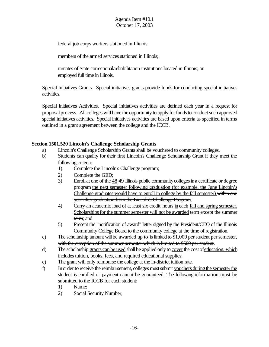federal job corps workers stationed in Illinois;

members of the armed services stationed in Illinois;

inmates of State correctional/rehabilitation institutions located in Illinois; or employed full time in Illinois.

Special Initiatives Grants. Special initiatives grants provide funds for conducting special initiatives activities.

Special Initiatives Activities. Special initiatives activities are defined each year in a request for proposal process. All colleges will have the opportunity to apply for funds to conduct such approved special initiatives activities. Special initiatives activities are based upon criteria as specified in terms outlined in a grant agreement between the college and the ICCB.

# **Section 1501.520 Lincoln's Challenge Scholarship Grants**

- a) Lincoln's Challenge Scholarship Grants shall be vouchered to community colleges.
- b) Students can qualify for their first Lincoln's Challenge Scholarship Grant if they meet the following criteria:
	- 1) Complete the Lincoln's Challenge program;
	- 2) Complete the GED;
	- 3) Enroll at one of the 48 49 Illinois public communitycollegesina certificate or degree program the next semester following graduation (for example, the June Lincoln's Challenge graduates would have to enroll in college by the fall semester) within one year after graduation from the Lincoln's Challenge Program;
	- 4) Carry an academic load of at least six credit hours in each fall and spring semester. Scholarships for the summer semester will not be awarded term except the summer term; and
	- 5) Present the "notification of award" letter signed by the President/CEO of the Illinois Community College Board to the community college at the time of registration.
- c) The scholarship <u>amount will be awarded up to</u> is limited to \$1,000 per student per semester, with the exception of the summer semester which is limited to \$500 per student.
- d) The scholarship grants can be used shall be applied only to cover the cost of education, which includes tuition, books, fees, and required educational supplies.
- e) The grant will only reimburse the college at the in-district tuition rate.
- f) In order to receive the reimbursement, colleges must submit vouchers during the semester the student is enrolled or payment cannot be guaranteed. The following information must be submitted to the ICCB for each student:
	- 1) Name;
	- 2) Social Security Number;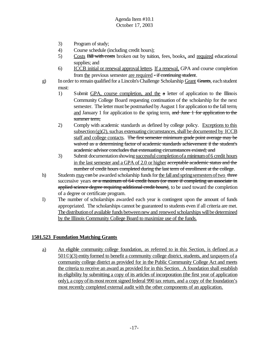- 3) Program of study;
- 4) Course schedule (including credit hours);
- 5) Costs Bill with costs broken out by tuition, fees, books, and required educational supplies; and
- 6) ICCB initial or renewal approval letters. If a renewal, GPA and course completion from the previous semester are required - if continuing student.
- g) In order to remain qualified for a Lincoln's Challenge Scholarship Grant Grants, each student must:
	- 1) Submit GPA, course completion, and the a letter of application to the Illinois Community College Board requesting continuation of the scholarship for the next semester. The letter must be postmarked by August 1 for application to the fall term, and January 1 for application to the spring term. and June 1 for application to the summer term;
	- 2) Comply with academic standards as defined by college policy. Exceptions to this subsection( $g(2)$ , such as extenuating circumstances, shall be documented by ICCB staff and college contacts. The first semester minimum grade point average may be waived as a determining factor of academic standards achievement if the student's academic advisor concludes that extenuating circumstances existed; and
	- 3) Submit documentation showing successful completion of a minimum of 6 credit hours in the last semester and a GPA of 2.0 or higher acceptable academic status and the number of credit hours completed during the last term of enrollment at the college.
- h) Students may can be awarded scholarship funds for the fall and spring semesters of two three successive years or a maximum of 64 credit hours (or more if completing an associate in applied science degree requiring additional credit hours), to be used toward the completion of a degree or certificate program.
- I) The number of scholarships awarded each year is contingent upon the amount of funds appropriated. The scholarships cannot be guaranteed to students even if all criteria are met. The distribution of available funds between new and renewed scholarships will be determined by the Illinois Community College Board to maximize use of the funds.

# **1501.523 Foundation Matching Grants**

a) An eligible community college foundation, as referred to in this Section, is defined as a 501©)(3) entityformed to benefit a community college district, students, and taxpayers of a community college district as provided for in the Public Community College Act and meets the criteria to receive an award as provided for in this Section. A foundation shall establish its eligibility by submitting a copy of its articles of incorporation (the first year of application only), a copyofitsmostrecent signed federal 990 tax return, and a copy of the foundation's most recently completed external audit with the other components of an application.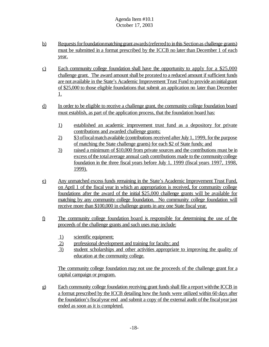- b) Requests for foundationmatching grant awards (referred to in this Section as challenge grants) must be submitted in a format prescribed by the ICCB no later than December 1 of each year.
- c) Each community college foundation shall have the opportunity to apply for a \$25,000 challenge grant. The award amount shall be prorated to a reduced amount if sufficient funds are not available in the State's Academic Improvement Trust Fund to provide aninitialgrant of \$25,000 to those eligible foundations that submit an application no later than December 1.
- d) In order to be eligible to receive a challenge grant, the community college foundation board must establish, as part of the application process, that the foundation board has:
	- 1) established an academic improvement trust fund as a depository for private contributions and awarded challenge grants;
	- 2) \$3 of local match available (contributions received after July 1, 1999, for the purpose of matching the State challenge grants) for each \$2 of State funds; and
	- 3) raised a minimum of \$10,000 from private sources and the contributions must be in excess of the total average annual cash contributions made to the community college foundation in the three fiscal years before July 1, 1999 (fiscal years 1997, 1998, 1999).
- e) Any unmatched excess funds remaining in the State's Academic Improvement Trust Fund, on April 1 of the fiscal year in which an appropriation is received, for community college foundations after the award of the initial \$25,000 challenge grants will be available for matching by any community college foundation. No community college foundation will receive more than \$100,000 in challenge grants in any one State fiscal year.
- f) The community college foundation board is responsible for determining the use of the proceeds of the challenge grants and such uses may include:
	- 1) scientific equipment;
	- 2) professional development and training for faculty; and
	- 3) student scholarships and other activities appropriate to improving the quality of education at the community college.

The community college foundation may not use the proceeds of the challenge grant for a capital campaign or program.

g) Each community college foundation receiving grant funds shall file a report with the ICCB in a format prescribed by the ICCB detailing how the funds were utilized within 60 days after the foundation's fiscal year end and submit a copy of the external audit of the fiscal year just ended as soon as it is completed.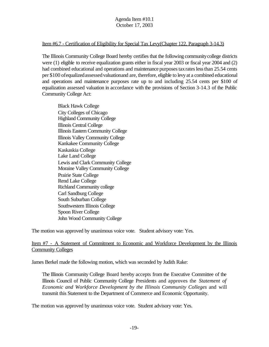#### Item #6.7 - Certification of Eligibility for Special Tax Levy(Chapter 122, Paragraph 3-14.3)

The Illinois Community College Board hereby certifies that the following communitycollege districts were (1) eligible to receive equalization grants either in fiscal year 2003 or fiscal year 2004 and (2) had combined educational and operations and maintenance purposes tax rates less than 25.54 cents per \$100 ofequalizedassessedvaluationand are, therefore, eligible to levy at a combined educational and operations and maintenance purposes rate up to and including 25.54 cents per \$100 of equalization assessed valuation in accordance with the provisions of Section 3-14.3 of the Public Community College Act:

Black Hawk College City Colleges of Chicago Highland Community College Illinois Central College Illinois Eastern Community College Illinois Valley Community College Kankakee Community College Kaskaskia College Lake Land College Lewis and Clark Community College Moraine Valley Community College Prairie State College Rend Lake College Richland Community college Carl Sandburg College South Suburban College Southwestern Illinois College Spoon River College John Wood Community College

The motion was approved by unanimous voice vote. Student advisory vote: Yes.

# Item #7 - A Statement of Commitment to Economic and Workforce Development by the Illinois **Community Colleges**

James Berkel made the following motion, which was seconded by Judith Rake:

The Illinois Community College Board hereby accepts from the Executive Committee of the Illinois Council of Public Community College Presidents and approves the *Statement of Economic and Workforce Development by the Illinois Community Colleges* and will transmit this Statement to the Department of Commerce and Economic Opportunity.

The motion was approved by unanimous voice vote. Student advisory vote: Yes.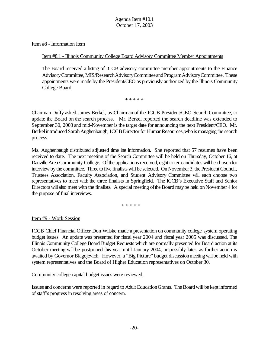Item #8 - Information Item

Item #8.1 - Illinois Community College Board Advisory Committee Member Appointments

The Board received a listing of ICCB advisory committee member appointments to the Finance AdvisoryCommittee, MIS/ResearchAdvisoryCommitteeand ProgramAdvisoryCommittee. These appointments were made by the President/CEO as previously authorized by the Illinois Community College Board.

\* \* \* \* \*

Chairman Duffy asked James Berkel, as Chairman of the ICCB President/CEO Search Committee, to update the Board on the search process. Mr. Berkel reported the search deadline was extended to September 30, 2003 and mid-November is the target date for announcing the next President/CEO. Mr. Berkel introduced Sarah Aughenbaugh, ICCB Director for Human Resources, who is managing the search process.

Ms. Aughenbaugh distributed adjusted time ine information. She reported that 57 resumes have been received to date. The next meeting of the Search Committee will be held on Thursday, October 16, at Danville Area Community College. Of the applications received, eight to ten candidates will be chosen for interview by the committee. Three to five finalists will be selected. On November 3, the President Council, Trustees Association, Faculty Association, and Student Advisory Committee will each choose two representatives to meet with the three finalists in Springfield. The ICCB's Executive Staff and Senior Directors will also meet with the finalists. A special meeting of the Board may be held on November 4 for the purpose of final interviews.

\* \* \* \* \*

Item #9 - Work Session

ICCB Chief Financial Officer Don Wilske made a presentation on community college system operating budget issues. An update was presented for fiscal year 2004 and fiscal year 2005 was discussed. The Illinois Community College Board Budget Requests which are normally presented for Board action at its October meeting will be postponed this year until January 2004, or possibly later, as further action is awaited by Governor Blagojevich. However, a "Big Picture" budget discussion meeting will be held with system representatives and the Board of Higher Education representatives on October 30.

Community college capital budget issues were reviewed.

Issues and concerns were reported in regard to Adult EducationGrants. The Board will be kept informed of staff's progress in resolving areas of concern.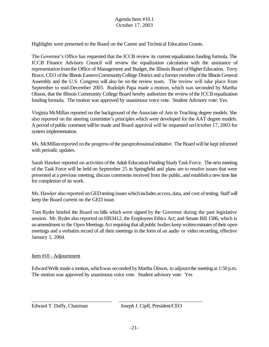Highlights were presented to the Board on the Career and Technical Education Grants.

The Governor's Office has requested that the ICCB review its current equalization funding formula. The ICCB Finance Advisory Council will review the equalization calculation with the assistance of representation from the Office of Management and Budget, the Illinois Board of Higher Education. Terry Bruce, CEO of the Illinois Eastern Community College District and a former member of the Illinois General Assembly and the U.S. Congress will also be on the review team. The review will take place from September to mid-December 2003. Rudolph Papa made a motion, which was seconded by Martha Olsson, that the Illinois Community College Board hereby authorizes the review of the ICCB equalization funding formula. The motion was approved by unanimous voice vote. Student Advisory vote: Yes.

Virginia McMillan reported on the background of the Associate of Arts in Teaching degree models. She also reported on the steering committee's principles which were developed for the AAT degree models. A period of public comment will be made and Board approval will be requested on October 17, 2003 for system implementation.

Ms. McMillan reported on the progress of the paraprofessional initiative. The Board will be kept informed with periodic updates.

Sarah Hawker reported on activities of the Adult Education Funding Study Task Force. The next meeting of the Task Force will be held on September 25 in Springfield and plans are to resolve issues that were presented at a previous meeting, discuss comments received from the public, and establisha new time line for completion of its work.

Ms. Hawker also reported on GED testing issues which includes access, data, and cost of testing. Staff will keep the Board current on the GED issue.

Tom Ryder briefed the Board on bills which were signed by the Governor during the past legislative session. Mr. Ryder also reported on HB3412, the Employees Ethics Act; and Senate Bill 1586, which is an amendment to the Open Meetings Act requiring that all public bodies keep written minutes of their open meetings and a verbatim record of all their meetings in the form of an audio or video recording, effective January 1, 2004.

# Item #10 - Adjournment

Edward Welk made a motion, which was seconded by Martha Olsson, to adjourn the meeting at 1:50 p.m. The motion was approved by unanimous voice vote. Student advisory vote: Yes

 $\overline{a}$ 

Edward T. Duffy, Chairman Joseph J. Cipfl, President/CEO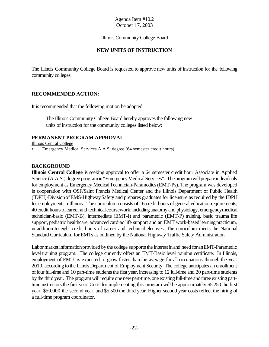Illinois Community College Board

# **NEW UNITS OF INSTRUCTION**

The Illinois Community College Board is requested to approve new units of instruction for the following community colleges:

# **RECOMMENDED ACTION:**

It is recommended that the following motion be adopted:

 The Illinois Community College Board hereby approves the following new units of instruction for the community colleges listed below:

### **PERMANENT PROGRAM APPROVAL**

Illinois Central College

< Emergency Medical Services A.A.S. degree (64 semester credit hours)

# **BACKGROUND**

**Illinois Central College** is seeking approval to offer a 64 semester credit hour Associate in Applied Science (A.A.S.) degree program in "Emergency Medical Services". The program will prepare individuals for employment as Emergency MedicalTechnician-Paramedics(EMT-Ps). The program was developed in cooperation with OSF/Saint Francis Medical Center and the Illinois Department of Public Health (IDPH)-DivisionofEMS-HighwaySafety and prepares graduates for licensure as required by the IDPH for employment in Illinois. The curriculum consists of 16 credit hours of general education requirements, 40credit hours of career and technicalcoursework, including anatomy and physiology, emergencymedical technician-basic (EMT-B), intermediate (EMT-I) and paramedic (EMT-P) training, basic trauma life support, pediatric healthcare, advanced cardiac life support and an EMT work-based learning practicum, in addition to eight credit hours of career and technical electives. The curriculum meets the National Standard Curriculum for EMTs as outlined by the National Highway Traffic Safety Administration.

Labor market information provided by the college supports the interest in and need for an EMT-Paramedic level training program. The college currently offers an EMT-Basic level training certificate. In Illinois, employment of EMTs is expected to grow faster than the average for all occupations through the year 2010, according to the Illinois Department of Employment Security. The college anticipates an enrollment of four full-time and 10 part-time students the first year, increasing to 12 full-time and 20 part-time students bythe third year. The program will require one new part-time, one existing full-time and three existing parttime instructors the first year. Costs for implementing this program will be approximately \$5,250 the first year, \$50,000 the second year, and \$5,500 the third year. Higher second year costs reflect the hiring of a full-time program coordinator.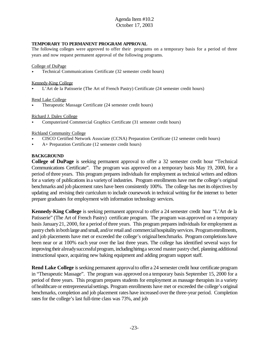#### **TEMPORARY TO PERMANENT PROGRAM APPROVAL**

The following colleges were approved to offer their programs on a temporary basis for a period of three years and now request permanent approval of the following programs.

#### College of DuPage

< Technical Communications Certificate (32 semester credit hours)

#### Kennedy-King College

< L'Art de la Patisserie (The Art of French Pastry) Certificate (24 semester credit hours)

#### Rend Lake College

< Therapeutic Massage Certificate (24 semester credit hours)

Richard J. Daley College

< Computerized Commercial Graphics Certificate (31 semester credit hours)

#### Richland Community College

- < CISCO Certified Network Associate (CCNA) Preparation Certificate (12 semester credit hours)
- < A+ Preparation Certificate (12 semester credit hours)

#### **BACKGROUND**

**College of DuPage** is seeking permanent approval to offer a 32 semester credit hour "Technical Communications Certificate". The program was approved on a temporary basis May 19, 2000, for a period ofthree years. This program prepares individuals for employment as technical writers and editors for a variety of publications in a variety of industries. Program enrollments have met the college's original benchmarks and job placement rates have been consistently 100%. The college has met its objectives by updating and revising their curriculum to include coursework in technical writing for the internet to better prepare graduates for employment with information technology services.

**Kennedy-King College** is seeking permanent approval to offer a 24 semester credit hour "L'Art de la Patisserie" (The Art of French Pastry) certificate program. The program was approved on a temporary basis January 21, 2000, for a period of three years. This program prepares individuals for employment as pastry chefs in both large and small, and/or retail and commercial hospitality services. Program enrollments, and job placements have met or exceeded the college's originalbenchmarks. Program completions have been near or at 100% each year over the last three years. The college has identified several ways for improving their alreadysuccessfulprogram, includinghiringa second master pastrychef, planning additional instructional space, acquiring new baking equipment and adding program support staff.

**Rend Lake College** is seeking permanent approval to offer a 24 semester credit hour certificate program in "Therapeutic Massage". The program was approved ona temporary basis September 15, 2000 for a period of three years. This program prepares students for employment as massage therapists in a variety ofhealthcare or entrepreneurialsettings. Program enrollments have met or exceeded the college's original benchmarks, completion and job placement rates have increased overthe three-year period. Completion rates for the college's last full-time class was 73%, and job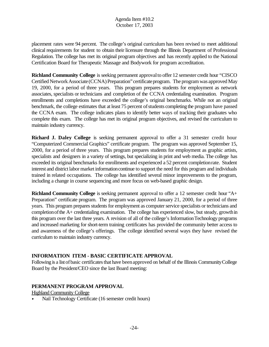placement rates were 94 percent. The college's original curriculum has been revised to meet additional clinical requirements for student to obtain their licensure through the Illinois Department of Professional Regulation. The college has met its original program objectives and has recently applied to the National Certification Board for Therapeutic Massage and Bodywork for program accreditation.

**Richland Community College** is seeking permanent approvalto offer 12 semester credit hour "CISCO Certified Network Associate (CCNA) Preparation" certificate program. The program was approved May 19, 2000, for a period of three years. This program prepares students for employment as network associates, specialists or technicians and completion of the CCNA credentialing examination. Program enrollments and completions have exceeded the college's original benchmarks. While not an original benchmark, the college estimates that at least 75 percent of students completing the program have passed the CCNA exam. The college indicates plans to identify better ways of tracking their graduates who complete this exam. The college has met its original program objectives, and revised the curriculum to maintain industry currency.

**Richard J. Daley College** is seeking permanent approval to offer a 31 semester credit hour "Computerized Commercial Graphics" certificate program. The program was approved September 15, 2000, for a period of three years. This program prepares students for employment as graphic artists, specialists and designers in a variety of settings, but specializing in print and web media. The college has exceeded its original benchmarks for enrollments and experienced a 52 percent completionrate. Student interest and district labor market informationcontinue to support the need for this program and individuals trained in related occupations. The college has identified several minor improvements to the program, including a change in course sequencing and more focus on web-based graphic design.

**Richland Community College** is seeking permanent approval to offer a 12 semester credit hour "A+ Preparation" certificate program. The program was approved January 21, 2000, for a period of three years. This program prepares students for employment as computer service specialists or technicians and completion of the A+ credentialing examination. The college has experienced slow, but steady, growthin this program over the last three years. A revision of all of the college's InformationTechnology programs and increased marketing for short-term training certificates has provided the community better access to and awareness of the college's offerings. The college identified several ways they have revised the curriculum to maintain industry currency.

# **INFORMATION ITEM - BASIC CERTIFICATE APPROVAL**

Following is a list of basic certificates that have been approved on behalf of the Illinois Community College Board by the President/CEO since the last Board meeting:

# **PERMANENT PROGRAM APPROVAL**

Highland Community College

• Nail Technology Certificate (16 semester credit hours)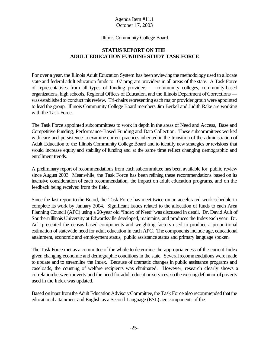#### Illinois Community College Board

# **STATUS REPORT ON THE ADULT EDUCATION FUNDING STUDY TASK FORCE**

For over a year, the Illinois Adult Education System has beenreviewing the methodology used to allocate state and federal adult education funds to 107 program providers in all areas of the state. A Task Force of representatives from all types of funding providers — community colleges, community-based organizations, high schools, Regional Offices of Education, and the Illinois Department of Corrections was established to conduct this review. Tri-chairs representing each major provider group were appointed to lead the group. Illinois Community College Board members Jim Berkel and Judith Rake are working with the Task Force.

The Task Force appointed subcommittees to work in depth in the areas of Need and Access, Base and Competitive Funding, Performance-Based Funding and Data Collection. These subcommittees worked with care and persistence to examine current practices inherited in the transition of the administration of Adult Education to the Illinois Community College Board and to identify new strategies or revisions that would increase equity and stability of funding and at the same time reflect changing demographic and enrollment trends.

A preliminary report of recommendations from each subcommittee has been available for public review since August 2003. Meanwhile, the Task Force has been refining these recommendations based on its intensive consideration of each recommendation, the impact on adult education programs, and on the feedback being received from the field.

Since the last report to the Board, the Task Force has meet twice on an accelerated work schedule to complete its work by January 2004. Significant issues related to the allocation of funds to each Area Planning Council (APC) using a 20-year old "Index of Need"was discussed in detail. Dr. David Ault of Southern Illinois University at Edwardsville developed, maintains, and produces the Index each year. Dr. Ault presented the census-based components and weighting factors used to produce a proportional estimation of statewide need for adult education in each APC. The components include age, educational attainment, economic and employment status, public assistance status and primary language spoken.

The Task Force met as a committee of the whole to determine the appropriateness of the current Index given changing economic and demographic conditions in the state. Several recommendations were made to update and to streamline the Index. Because of dramatic changes in public assistance programs and caseloads, the counting of welfare recipients was eliminated. However, research clearly shows a correlation between poverty and the need for adult education services, so the existing definition of poverty used in the Index was updated.

Based on input from the Adult Education Advisory Committee, the Task Force also recommended that the educational attainment and English as a Second Language (ESL) age components of the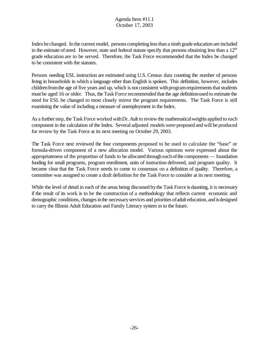Indexbe changed. In the current model, persons completing less than a ninth grade education are included in the estimate of need. However, state and federal statute specify that persons obtaining less than a  $12<sup>th</sup>$ grade education are to be served. Therefore, the Task Force recommended that the Index be changed to be consistent with the statutes.

Persons needing ESL instruction are estimated using U.S. Census data counting the number of persons living in households in which a language other than English is spoken. This definition, however, includes children from the age of five years and up, which is not consistent with program requirements that students must be aged 16 or older. Thus, the Task Force recommended that the age definitionused to estimate the need for ESL be changed to most closely mirror the program requirements. The Task Force is still examining the value of including a measure of unemployment in the Index.

As a further step, the Task Force worked with Dr. Ault to review the mathematical weights applied to each component in the calculation of the Index. Several adjusted models were proposed and will be produced for review by the Task Force at its next meeting on October 29, 2003.

The Task Force next reviewed the four components proposed to be used to calculate the "base" or formula-driven component of a new allocation model. Various opinions were expressed about the appropriateness of the proportion of funds to be allocated through eachofthe components — foundation funding for small programs, program enrollment, units of instruction delivered, and program quality. It became clear that the Task Force needs to come to consensus on a definition of quality. Therefore, a committee was assigned to create a draft definition for the Task Force to consider at its next meeting.

While the level of detail in each of the areas being discussed by the Task Force is daunting, it is necessary if the result of its work is to be the construction of a methodology that reflects current economic and demographic conditions, changes in the necessary services and priorities of adult education, and is designed to carry the Illinois Adult Education and Family Literacy system in to the future.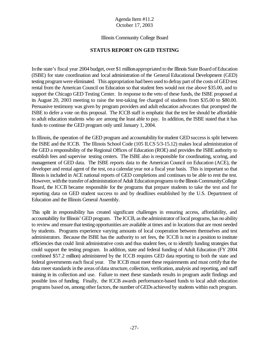#### Illinois Community College Board

### **STATUS REPORT ON GED TESTING**

Inthe state's fiscal year 2004 budget, over \$1 millionappropriated to the Illinois State Board ofEducation (ISBE) for state coordination and local administration of the General Educational Development (GED) testing programwere eliminated. This appropriation had been used to defray part of the costs of GED test rental from the American Council on Education so that student fees would not rise above \$35.00, and to support the Chicago GED Testing Center. In response to the veto of these funds, the ISBE proposed at its August 20, 2003 meeting to raise the test-taking fee charged of students from \$35.00 to \$80.00. Persuasive testimony was given by program providers and adult education advocates that prompted the ISBE to defer a vote on this proposal. The ICCB staff is emphatic that the test fee should be affordable to adult education students who are among the least able to pay. In addition, the ISBE stated that it has funds to continue the GED program only until January 1, 2004.

In Illinois, the operation of the GED program and accountability for student GED success is split between the ISBE and the ICCB. The Illinois School Code (105 ILCS 5/3-15.12) makes local administration of the GED a responsibility of the Regional Offices of Education (ROE) and provides the ISBE authority to establish fees and supervise testing centers. The ISBE also is responsible for coordinating, scoring, and management of GED data. The ISBE reports data to the American Council on Education (ACE), the developer and rental agent of the test, on a calendar year not a fiscal year basis. This is important so that Illinois is included in ACE national reports of GED completions and continues to be able to rent the test. However, with the transfer of administration of Adult Education programs to the Illinois Community College Board, the ICCB became responsible for the programs that prepare students to take the test and for reporting data on GED student success to and by deadlines established by the U.S. Department of Education and the Illinois General Assembly.

This split in responsibility has created significant challenges in ensuring access, affordability, and accountability for Illinois' GED program. The ICCB, as the administrator of local programs, has no ability to review and ensure that testing opportunities are available at times and in locations that are most needed by students. Programs experience varying amounts of local cooperation between themselves and test administrators. Because the ISBE has the authority to set fees, the ICCB is not in a position to institute efficiencies that could limit administrative costs and thus student fees, or to identify funding strategies that could support the testing program. In addition, state and federal funding of Adult Education (FY 2004 combined \$57.2 million) administered by the ICCB requires GED data reporting to both the state and federal governments each fiscal year. The ICCB must meet these requirements and must certify that the data meet standards in the areas of data structure, collection, verification, analysis and reporting, and staff training in its collection and use. Failure to meet these standards results in program audit findings and possible loss of funding. Finally, the ICCB awards performance-based funds to local adult education programs based on, among other factors, the number of GEDs achieved by students within each program.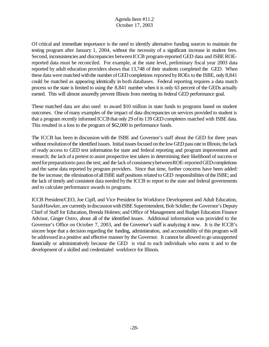Of critical and immediate importance is the need to identify alternative funding sources to maintain the testing program after January 1, 2004, without the necessity of a significant increase in student fees. Second, inconsistencies and discrepancies between ICCB program-reported GED data and ISBE ROEreported data must be reconciled. For example, at the state level, preliminary fiscal year 2003 data reported by adult education providers shows that 13,748 of their students completed the GED. When these data were matched with the number of GED completions reported by ROEs to the ISBE, only 8,841 could be matched as appearing identically in both databases. Federal reporting requires a data match process so the state is limited to using the 8,841 number when it is only 63 percent of the GEDs actually earned. This will almost assuredly prevent Illinois from meeting its federal GED performance goal.

These matched data are also used to award \$10 million in state funds to programs based on student outcomes. One ofmany examples of the impact of data discrepancies on services provided to student is that a program recently informed ICCB that only 29 of its 139 GED completers matched with ISBE data. This resulted in a loss to the program of \$62,000 in performance funds.

The ICCB has been in discussion with the ISBE and Governor's staff about the GED for three years without resolution of the identified issues. Initial issues focused on the low GED pass rate in Illinois; the lack of ready access to GED test information for state and federal reporting and program improvement and research; the lack of a pretest to assist prospective test takers in determining their likelihood of success or need for preparation to pass the test; and the lack of consistency between ROE-reported GED completions and the same data reported by program providers. Since that time, further concerns have been added: the fee increase; the eliminationof allISBE staff positions related to GED responsibilities of the ISBE; and the lack of timely and consistent data needed bythe ICCB to report to the state and federal governments and to calculate performance awards to programs.

ICCB President/CEO, Joe Cipfl, and Vice President for Workforce Development and Adult Education, Sarah Hawker, are currently in discussion with ISBE Superintendent, Bob Schiller; the Governor's Deputy Chief of Staff for Education, Brenda Holmes; and Office of Management and Budget Education Finance Advisor, Ginger Ostro, about all of the identified issues. Additional information was provided to the Governor's Office on October 7, 2003, and the Governor's staff is analyzing it now. It is the ICCB's sincere hope that a decision regarding the funding, administration, and accountability of this program will be addressed ina positive and effective manner by the Governor. It cannot be allowed to go unsupported financially or administratively because the GED is vital to each individuals who earns it and to the development of a skilled and credentialed workforce for Illinois.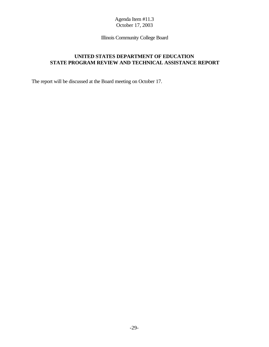Illinois Community College Board

# **UNITED STATES DEPARTMENT OF EDUCATION STATE PROGRAM REVIEW AND TECHNICAL ASSISTANCE REPORT**

The report will be discussed at the Board meeting on October 17.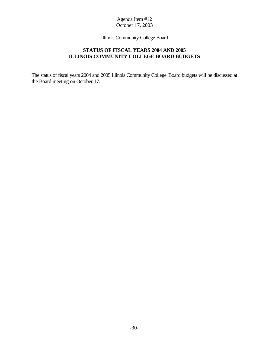Illinois Community College Board

# **STATUS OF FISCAL YEARS 2004 AND 2005 ILLINOIS COMMUNITY COLLEGE BOARD BUDGETS**

The status of fiscal years 2004 and 2005 Illinois Community College Board budgets will be discussed at the Board meeting on October 17.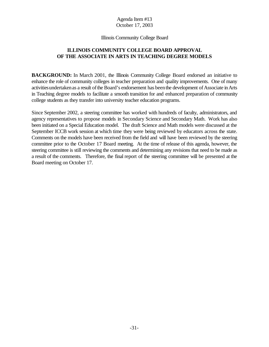#### Illinois Community College Board

# **ILLINOIS COMMUNITY COLLEGE BOARD APPROVAL OF THE ASSOCIATE IN ARTS IN TEACHING DEGREE MODELS**

**BACKGROUND:** In March 2001, the Illinois Community College Board endorsed an initiative to enhance the role of community colleges in teacher preparation and quality improvements. One of many activities undertaken as a result of the Board's endorsement has been the development of Associate in Arts in Teaching degree models to facilitate a smooth transition for and enhanced preparation of community college students as they transfer into university teacher education programs.

Since September 2002, a steering committee has worked with hundreds of faculty, administrators, and agency representatives to propose models in Secondary Science and Secondary Math. Work has also been initiated on a Special Education model. The draft Science and Math models were discussed at the September ICCB work session at which time they were being reviewed by educators across the state. Comments on the models have been received from the field and will have been reviewed by the steering committee prior to the October 17 Board meeting. At the time of release of this agenda, however, the steering committee is still reviewing the comments and determining any revisions that need to be made as a result of the comments. Therefore, the final report of the steering committee will be presented at the Board meeting on October 17.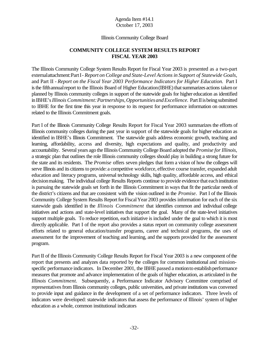#### Illinois Community College Board

# **COMMUNITY COLLEGE SYSTEM RESULTS REPORT FISCAL YEAR 2003**

The Illinois Community College System Results Report for Fiscal Year 2003 is presented as a two-part externalattachment:PartI- *Report on College and State-Level Actionsin Support of Statewide Goals*, and Part II - *Report on the Fiscal Year 2003 Performance Indicators for Higher Education.* Part I is the fifth annual report to the Illinois Board of Higher Education (IBHE) that summarizes actions taken or planned by Illinois community colleges in support of the statewide goals for higher education as identified in IBHE's *Illinois Commitment: Partnerships, Opportunities and Excellence.* Part II is being submitted to IBHE for the first time this year in response to its request for performance information on outcomes related to the Illinois Commitment goals.

Part I of the Illinois Community College Results Report for Fiscal Year 2003 summarizes the efforts of Illinois community colleges during the past year in support of the statewide goals for higher education as identified in IBHE's Illinois Commitment. The statewide goals address economic growth, teaching and learning, affordability, access and diversity, high expectations and quality, and productivity and accountability. Several years ago the Illinois Community College Board adopted the *Promise* for Illinois, a strategic plan that outlines the role Illinois community colleges should play in building a strong future for the state and its residents. The *Promise* offers seven pledges that form a vision of how the colleges will serve Illinois and its citizens to provide: a competitive workforce, effective course transfer, expanded adult education and literacy programs, universal technology skills, high quality, affordable access, and ethical decisionmaking. The individual college Results Reports continue to provide evidence that eachinstitution is pursuing the statewide goals set forth in the Illinois Commitment in ways that fit the particular needs of the district's citizens and that are consistent with the vision outlined in the *Promise*. Part I of the Illinois Community College System Results Report for Fiscal Year 2003 provides information for each of the six statewide goals identified in the *Illinois Commitment* that identifies common and individual college initiatives and actions and state-level initiatives that support the goal. Many of the state-level initiatives support multiple goals. To reduce repetition, each initiative is included under the goal to which it is most directly applicable. Part I of the report also provides a status report on community college assessment efforts related to general education/transfer programs, career and technical programs, the uses of assessment for the improvement of teaching and learning, and the supports provided for the assessment program.

Part II of the Illinois Community College Results Report for Fiscal Year 2003 is a new component of the report that presents and analyzes data reported by the colleges for common institutional and missionspecific performance indicators. In December 2001, the IBHE passed a motion to establish performance measures that promote and advance implementation of the goals of higher education, as articulated in the *Illinois Commitment.* Subsequently, a Performance Indicator Advisory Committee comprised of representativesfrom Illinois community colleges, public universities, and private institutions was convened to provide input and guidance in the development of a set of performance indicators. Three levels of indicators were developed: statewide indicators that assess the performance of Illinois' system of higher education as a whole, common institutional indicators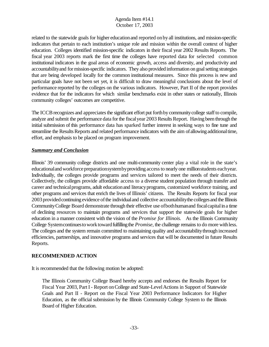related to the statewide goals for higher educationand reported onbyall institutions, and mission-specific indicators that pertain to each institution's unique role and mission within the overall context of higher education. Colleges identified mission-specific indicators in their fiscal year 2002 Results Reports. The fiscal year 2003 reports mark the first time the colleges have reported data for selected common institutional indicators in the goal areas of economic growth, access and diversity, and productivity and accountability and for mission-specific indicators. They also provided information on goal setting strategies that are being developed locally for the common institutional measures. Since this process is new and particular goals have not been set yet, it is difficult to draw meaningful conclusions about the level of performance reported by the colleges on the various indicators. However, Part II of the report provides evidence that for the indicators for which similar benchmarks exist in other states or nationally, Illinois community colleges' outcomes are competitive.

The ICCB recognizes and appreciates the significant effort put forth by community college staff to compile, analyze and submit the performance data for the fiscal year 2003 Results Report. Having been through the initial submission of this performance data has sparked further interest in seeking ways to fine tune and streamline the Results Reports and related performance indicators with the aim of allowing additional time, effort, and emphasis to be placed on program improvement.

### *Summary and Conclusion*

Illinois' 39 community college districts and one multi-community center play a vital role in the state's educational and workforce preparation system by providing access to nearly one million students each year. Individually, the colleges provide programs and services tailored to meet the needs of their districts. Collectively, the colleges provide affordable access to a diverse student population through transfer and career and technical programs, adult education and literacy programs, customized workforce training, and other programs and services that enrich the lives of Illinois' citizens. The Results Reports for fiscal year 2003 provided continuing evidence of the individual and collective accountability the colleges and the Illinois CommunityCollege Board demonstrate through their effective use ofbothhumanand fiscalcapitalina time of declining resources to maintain programs and services that support the statewide goals for higher education in a manner consistent with the vision of the *Promise for Illinois.* As the Illinois Community College System continues to work toward fulfilling the *Promise*, the challenge remains to do more with less. The colleges and the system remain committed to maintaining quality and accountability through increased efficiencies, partnerships, and innovative programs and services that will be documented in future Results Reports.

# **RECOMMENDED ACTION**

It is recommended that the following motion be adopted:

The Illinois Community College Board hereby accepts and endorses the Results Report for Fiscal Year 2003, Part I - Report on College and State-Level Actions in Support of Statewide Goals and Part II - Report on the Fiscal Year 2003 Performance Indicators for Higher Education, as the official submission by the Illinois Community College System to the Illinois Board of Higher Education.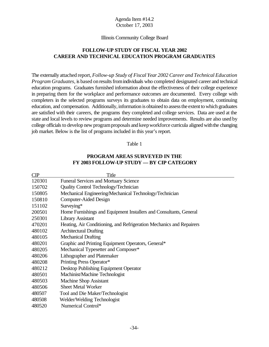#### Illinois Community College Board

# **FOLLOW-UP STUDY OF FISCAL YEAR 2002 CAREER AND TECHNICAL EDUCATION PROGRAM GRADUATES**

The externally attached report, *Follow-up Study of Fiscal Year 2002 Career and Technical Education Program Graduates,* is based on results from individuals who completed designated career and technical education programs. Graduates furnished information about the effectiveness of their college experience in preparing them for the workplace and performance outcomes are documented. Every college with completers in the selected programs surveys its graduates to obtain data on employment, continuing education, and compensation. Additionally, information is obtained to assess the extent to which graduates are satisfied with their careers, the programs they completed and college services. Data are used at the state and local levels to review programs and determine needed improvements. Results are also used by college officials to develop new program proposals and keep workforce curricula aligned with the changing job market. Below is the list of programs included in this year's report.

#### Table 1

### **PROGRAM AREAS SURVEYED IN THE FY 2003 FOLLOW-UP STUDY — BY CIP CATEGORY**

| CIP    | Title                                                                |
|--------|----------------------------------------------------------------------|
| 120301 | <b>Funeral Services and Mortuary Science</b>                         |
| 150702 | <b>Quality Control Technology/Technician</b>                         |
| 150805 | Mechanical Engineering/Mechanical Technology/Technician              |
| 150810 | Computer-Aided Design                                                |
| 151102 | Surveying*                                                           |
| 200501 | Home Furnishings and Equipment Installers and Consultants, General   |
| 250301 | <b>Library Assistant</b>                                             |
| 470201 | Heating, Air Conditioning, and Refrigeration Mechanics and Repairers |
| 480102 | <b>Architectural Drafting</b>                                        |
| 480105 | <b>Mechanical Drafting</b>                                           |
| 480201 | Graphic and Printing Equipment Operators, General*                   |
| 480205 | Mechanical Typesetter and Composer*                                  |
| 480206 | Lithographer and Platemaker                                          |
| 480208 | Printing Press Operator*                                             |
| 480212 | Desktop Publishing Equipment Operator                                |
| 480501 | Machinist/Machine Technologist                                       |
| 480503 | Machine Shop Assistant                                               |
| 480506 | <b>Sheet Metal Worker</b>                                            |
| 480507 | Tool and Die Maker/Technologist                                      |
| 480508 | Welder/Welding Technologist                                          |
| 480520 | Numerical Control*                                                   |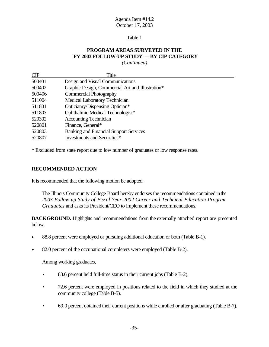#### Table 1

# **PROGRAM AREAS SURVEYED IN THE FY 2003 FOLLOW-UP STUDY — BY CIP CATEGORY**

*(Continued)*

| CIP    | Title                                            |
|--------|--------------------------------------------------|
| 500401 | Design and Visual Communications                 |
| 500402 | Graphic Design, Commercial Art and Illustration* |
| 500406 | <b>Commercial Photography</b>                    |
| 511004 | Medical Laboratory Technician                    |
| 511801 | Opticianry/Dispensing Optician*                  |
| 511803 | Ophthalmic Medical Technologist*                 |
| 520302 | <b>Accounting Technician</b>                     |
| 520801 | Finance, General*                                |
| 520803 | <b>Banking and Financial Support Services</b>    |
| 520807 | Investments and Securities*                      |
|        |                                                  |

\* Excluded from state report due to low number of graduates or low response rates.

### **RECOMMENDED ACTION**

It is recommended that the following motion be adopted:

The Illinois Community College Board hereby endorses the recommendations contained inthe *2003 Follow-up Study of Fiscal Year 2002 Career and Technical Education Program Graduates* and asks its President/CEO to implement these recommendations.

**BACKGROUND.** Highlights and recommendations from the externally attached report are presented below.

- 88.8 percent were employed or pursuing additional education or both (Table B-1).
- ▶ 82.0 percent of the occupational completers were employed (Table B-2).

Among working graduates,

- ▶ 83.6 percent held full-time status in their current jobs (Table B-2).
- 72.6 percent were employed in positions related to the field in which they studied at the community college (Table B-5).
- ▶ 69.0 percent obtained their current positions while enrolled or after graduating (Table B-7).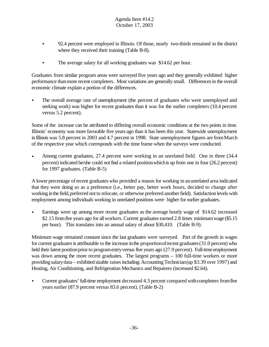- < 92.4 percent were employed in Illinois. Of those, nearly two-thirds remained in the district where they received their training (Table B-8).
- $\blacktriangleright$  The average salary for all working graduates was \$14.62 per hour.

Graduates from similar program areas were surveyed five years ago and they generally exhibited higher performance thanmore recent completers. Most variations are generally small. Differences in the overall economic climate explain a portion of the differences.

• The overall average rate of unemployment (the percent of graduates who were unemployed and seeking work) was higher for recent graduates than it was for the earlier completers (10.4 percent versus 5.2 percent).

Some of the increase can be attributed to differing overall economic conditions at the two points in time. Illinois' economy was more favorable five years ago than it has been this year. Statewide unemployment in Illinois was 5.8 percent in 2003 and 4.7 percent in 1998. State unemployment figures are from March of the respective year which corresponds with the time frame when the surveys were conducted.

Among current graduates, 27.4 percent were working in an unrelated field. One in three  $(34.4)$ percent) indicated he/she could notfind a related positionwhichis up from one in four (26.2 percent) for 1997 graduates. (Table B-5)

A lower percentage ofrecent graduates who provided a reason for working in anunrelated area indicated that they were doing so as a preference (i.e., better pay, better work hours, decided to change after working in the field, preferred not to relocate, or otherwise preferred another field). Satisfaction levels with employment among individuals working in unrelated positions were higher for earlier graduates.

Earnings were up among more recent graduates as the average hourly wage of \$14.62 increased \$2.15 from five years ago for all workers. Current graduates earned 2.8 times minimum wage (\$5.15 per hour). This translates into an annual salary of about \$30,410. (Table B-9).

Minimum wage remained constant since the last graduates were surveyed. Part of the growth in wages for current graduates is attributable to the increase in the proportionofrecent graduates (31.0 percent) who held their latest position prior to programentry versus five years ago (27.9 percent). Full-time employment was down among the more recent graduates. The largest programs – 100 full-time workers or more providing salary data – exhibited sizable raises including: Accounting Technician (up \$3.39 over 1997) and Heating, Air Conditioning, and Refrigeration Mechanics and Repairers (increased \$2.64).

• Current graduates' full-time employment decreased 4.3 percent compared with completers from five years earlier (87.9 percent versus 83.6 percent). (Table B-2)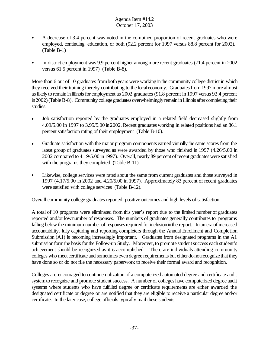- $\blacktriangleright$  A decrease of 3.4 percent was noted in the combined proportion of recent graduates who were employed, continuing education, or both (92.2 percent for 1997 versus 88.8 percent for 2002). (Table B-1)
- $\blacktriangleright$  In-district employment was 9.9 percent higher among more recent graduates (71.4 percent in 2002) versus 61.5 percent in 1997) (Table B-8).

More than 6 out of 10 graduates from both years were working in the community college district in which they received their training thereby contributing to the localeconomy. Graduates from 1997 more almost as likely to remain in Illinois for employment as 2002 graduates (91.8 percent in 1997 versus 92.4 percent in2002)(TableB-8). Community college graduates overwhelmingly remain in Illinois after completing their studies.

- < Job satisfaction reported by the graduates employed in a related field decreased slightly from 4.09/5.00 in 1997 to 3.95/5.00 in2002. Recent graduates working in related positions had an 86.1 percent satisfaction rating of their employment (Table B-10).
- < Graduate satisfaction with the major program components earned virtually the same scores from the latest group of graduates surveyed as were awarded by those who finished in 1997 (4.26/5.00 in 2002 compared to 4.19/5.00 in1997). Overall, nearly 89 percent of recent graduates were satisfied with the programs they completed (Table B-11).
- **EXECUTE:** Likewise, college services were rated about the same from current graduates and those surveyed in 1997 (4.17/5.00 in 2002 and 4.20/5.00 in 1997). Approximately 83 percent of recent graduates were satisfied with college services (Table B-12).

Overall community college graduates reported positive outcomes and high levels of satisfaction.

A total of 10 programs were eliminated from this year's report due to the limited number of graduates reported and/or lownumber of responses. The numbers of graduates generally contributes to programs falling below the minimum number of responses required for inclusion in the report. In an era of increased accountability, fully capturing and reporting completers through the Annual Enrollment and Completion Submission (A1) is becoming increasingly important. Graduates from designated programs in the A1 submission form the basis for the Follow-up Study. Moreover, to promote student success each student's achievement should be recognized as it is accomplished. There are individuals attending community colleges who meet certificate and sometimes evendegree requirements but eitherdonotrecognize that they have done so or do not file the necessary paperwork to receive their formal award and recognition.

Colleges are encouraged to continue utilization of a computerized automated degree and certificate audit systemto recognize and promote student success. A number of colleges have computerized degree audit systems where students who have fulfilled degree or certificate requirements are either awarded the designated certificate or degree or are notified that they are eligible to receive a particular degree and/or certificate. In the later case, college officials typically mail these students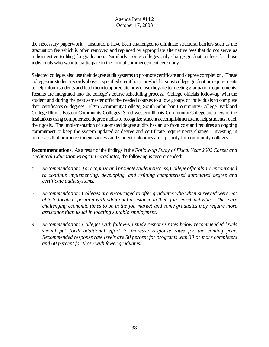the necessary paperwork. Institutions have been challenged to eliminate structural barriers such as the graduation fee which is often removed and replaced by appropriate alternative fees that do not serve as a disincentive to filing for graduation. Similarly, some colleges only charge graduation fees for those individuals who want to participate in the formal commencement ceremony.

Selected colleges also use their degree audit systems to promote certificate and degree completion. These colleges run student records above a specified credit hour threshold against college graduation requirements to help inform students and lead them to appreciate how close they are to meeting graduation requirements. Results are integrated into the college's course scheduling process. College officials follow-up with the student and during the next semester offer the needed courses to allow groups of individuals to complete their certificates or degrees. Elgin Community College, South Suburban Community College, Parkland College Illinois Eastern Community Colleges, Southwestern Illinois Community College are a few of the institutions using computerized degree audits to recognize student accomplishments and help students reach their goals. The implementation of automated degree audits has an up front cost and requires an ongoing commitment to keep the system updated as degree and certificate requirements change. Investing in processes that promote student success and student outcomes are a priority for community colleges.

**Recommendations**. As a result of the findings in the *Follow-up Study of Fiscal Year 2002 Career and Technical Education Program Graduate*s, the following is recommended:

- *1. Recommendation: To recognize and promote student success, College officials are encouraged to continue implementing, developing, and refining computerized automated degree and certificate audit systems.*
- *2. Recommendation: Colleges are encouraged to offer graduates who when surveyed were not able to locate a position with additional assistance in their job search activities. These are challenging economic times to be in the job market and some graduates may require more assistance than usual in locating suitable employment.*
- *3. Recommendation: Colleges with follow-up study response rates below recommended levels should put forth additional effort to increase response rates for the coming year. Recommended response rate levels are 50 percent for programs with 30 or more completers and 60 percent for those with fewer graduates.*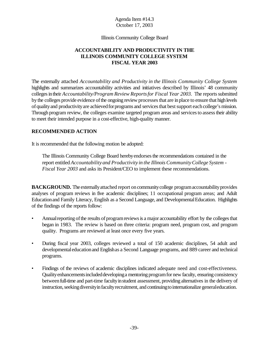Illinois Community College Board

# **ACCOUNTABILITY AND PRODUCTIVITY IN THE ILLINOIS COMMUNITY COLLEGE SYSTEM FISCAL YEAR 2003**

The externally attached *Accountability and Productivity in the Illinois Community College System* highlights and summarizes accountability activities and initiatives described by Illinois' 48 community colleges in their *Accountability/Program Review Reports for Fiscal Year 2003.* The reports submitted bythe colleges provide evidence ofthe ongoing review processesthat are inplace to ensure that highlevels of quality and productivity are achieved for programs and services that best support each college's mission. Through program review, the colleges examine targeted program areas and services to assess their ability to meet their intended purpose in a cost-effective, high-quality manner.

# **RECOMMENDED ACTION**

It is recommended that the following motion be adopted:

The Illinois Community College Board herebyendorsesthe recommendations contained in the report entitled *Accountability and Productivity in the Illinois CommunityCollege System - Fiscal Year 2003* and asks its President/CEO to implement these recommendations.

**BACKGROUND.** The externally attached report on community college program accountability provides analyses of program reviews in five academic disciplines; 11 occupational program areas; and Adult Educationand Family Literacy, English as a Second Language, and DevelopmentalEducation. Highlights of the findings of the reports follow:

- Annual reporting of the results of program reviews is a major accountability effort by the colleges that began in 1983. The review is based on three criteria: program need, program cost, and program quality. Programs are reviewed at least once every five years.
- During fiscal year 2003, colleges reviewed a total of 150 academic disciplines, 54 adult and developmentaleducationand Englishas a Second Language programs, and 889 career and technical programs.
- Findings of the reviews of academic disciplines indicated adequate need and cost-effectiveness. Quality enhancements included developing a mentoring program for new faculty, ensuring consistency between full-time and part-time faculty in student assessment, providing alternatives in the delivery of instruction, seeking diversity in faculty recruitment, and continuing to internationalize general education.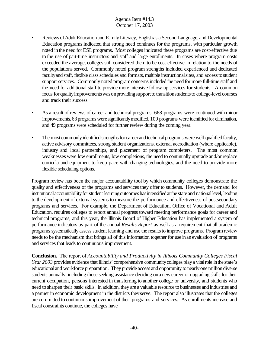- Reviews of Adult Education and Family Literacy, Englishas a Second Language, and Developmental Education programs indicated that strong need continues for the programs, with particular growth noted in the need for ESL programs. Most colleges indicated these programs are cost-effective due to the use of part-time instructors and staff and large enrollments. In cases where program costs exceeded the average, colleges still considered them to be cost-effective in relation to the needs of the populations served. Commonly noted program strengths included experienced and dedicated faculty and staff, flexible class schedules and formats, multiple instructional sites, and access to student support services. Commonly noted program concerns included the need for more full-time staff and the need for additional staff to provide more intensive follow-up services for students. A common focus for quality improvements was on providing support to transitionstudents to college-level courses and track their success.
- As a result of reviews of career and technical programs, 668 programs were continued with minor improvements, 63 programs were significantly modified, 109 programs were identified for elimination, and 49 programs were scheduled for further review during the coming year.
- The most commonly identified strengths for career and technical programs were well-qualified faculty, active advisory committees, strong student organizations, external accreditation (where applicable), industry and local partnerships, and placement of program completers. The most common weaknesses were low enrollments, low completions, the need to continually upgrade and/or replace curricula and equipment to keep pace with changing technologies, and the need to provide more flexible scheduling options.

Program review has been the major accountability tool by which community colleges demonstrate the quality and effectiveness of the programs and services they offer to students. However, the demand for institutional accountability for student learning outcomes has intensified at the state and national level, leading to the development of external systems to measure the performance and effectiveness of postsecondary programs and services. For example, the Department of Education, Office of Vocational and Adult Education, requires colleges to report annual progress toward meeting performance goals for career and technical programs, and this year, the Illinois Board of Higher Education has implemented a system of performance indicators as part of the annual *Results Report* as well as a requirement that all academic programs systematically assess student learning and use the results to improve programs. Program review needs to be the mechanism that brings all of this information together for use inanevaluation of programs and services that leads to continuous improvement.

**Conclusion.** The report of *Accountability and Productivity in Illinois Community Colleges Fiscal Year* 2003 provides evidence that Illinois' comprehensive community colleges play a vital role in the state's educationaland workforce preparation. They provide access and opportunity to nearly one million diverse students annually, including those seeking assistance deciding ona new career or upgrading skills for their current occupation, persons interested in transferring to another college or university, and students who need to sharpen their basic skills. In addition, they are a valuable resource to businesses and industries and a partner in economic development in the districts theyserve. The report also illustrates that the colleges are committed to continuous improvement of their programs and services. As enrollments increase and fiscal constraints continue, the colleges have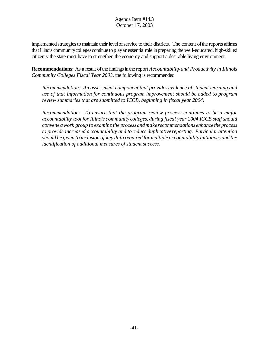implemented strategies to maintain their level of service to their districts. The content of the reports affirms that Illinois community colleges continue to play an essential role in preparing the well-educated, high-skilled citizenry the state must have to strengthen the economy and support a desirable living environment.

**Recommendations:** As a result of the findings in the report *Accountability and Productivity in Illinois Community Colleges Fiscal Year 2003,* the following is recommended:

*Recommendation: An assessment component that provides evidence of student learning and use of that information for continuous program improvement should be added to program review summaries that are submitted to ICCB, beginning in fiscal year 2004.* 

*Recommendation: To ensure that the program review process continues to be a major accountability tool for Illinois community colleges, during fiscal year 2004 ICCB staff should convene awork group to examine the processandmakerecommendations enhance the process to provide increased accountability and to reduce duplicative reporting. Particular attention should be given to inclusion of key data required for multiple accountability initiatives and the identification of additional measures of student success.*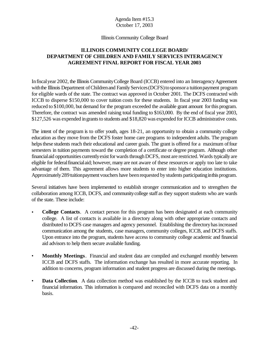#### Illinois Community College Board

# **ILLINOIS COMMUNITY COLLEGE BOARD/ DEPARTMENT OF CHILDREN AND FAMILY SERVICES INTERAGENCY AGREEMENT FINAL REPORT FOR FISCAL YEAR 2003**

In fiscal year 2002, the Illinois Community College Board (ICCB) entered into an Interagency Agreement with the Illinois Department of Children and Family Services (DCFS) to sponsor a tuition payment program for eligible wards of the state. The contract was approved in October 2001. The DCFS contracted with ICCB to disperse \$150,000 to cover tuition costs for these students. In fiscal year 2003 funding was reduced to \$100,000, but demand for the program exceeded the available grant amount for this program. Therefore, the contract was amended raising total funding to \$163,000. By the end of fiscal year 2003, \$127,526 was expended in grants to students and \$18,820 was expended for ICCB administrative costs.

The intent of the program is to offer youth, ages 18-21, an opportunity to obtain a community college education as they move from the DCFS foster home care programs to independent adults. The program helps these students reach their educational and career goals. The grant is offered for a maximum of four semesters in tuition payments toward the completion of a certificate or degree program. Although other financial aid opportunities currently exist for wards through DCFS, most are restricted. Wards typically are eligible for federalfinancialaid; however, many are not aware of these resources or apply too late to take advantage of them. This agreement allows more students to enter into higher education institutions. Approximately 289 tuitionpayment vouchers have been requested by students participating in this program.

Several initiatives have been implemented to establish stronger communication and to strengthen the collaboration among ICCB, DCFS, and communitycollege staff as they support students who are wards of the state. These include:

- **College Contacts**. A contact person for this program has been designated at each community college. A list of contacts is available in a directory along with other appropriate contacts and distributed to DCFS case managers and agency personnel. Establishing the directory has increased communication among the students, case managers, community colleges, ICCB, and DCFS staffs. Upon entrance into the program, students have access to community college academic and financial aid advisors to help them secure available funding.
- **Monthly Meetings**. Financial and student data are compiled and exchanged monthly between ICCB and DCFS staffs. The information exchange has resulted in more accurate reporting. In addition to concerns, program information and student progress are discussed during the meetings.
- **Data Collection.** A data collection method was established by the ICCB to track student and financial information. This information is compared and reconciled with DCFS data on a monthly basis.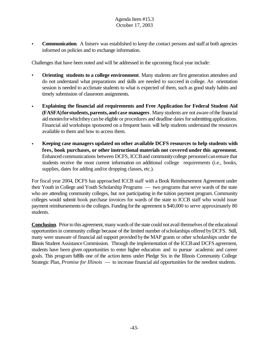**Communication.** A listserv was established to keep the contact persons and staff at both agencies informed on policies and to exchange information.

Challenges that have been noted and will be addressed in the upcoming fiscal year include:

- **Orienting students to a college environment**. Many students are first generation attendees and do not understand what preparations and skills are needed to succeed in college. An orientation session is needed to acclimate students to what is expected of them, such as good study habits and timely submission of classroom assignments.
- **Explaining the financial aid requirements and Free Application for Federal Student Aid (FASFA)forstudents,parents,and case managers**. Many students are not aware ofthe financial aid monies for which they can be eligible or procedures and deadline dates for submitting applications. Financial aid workshops sponsored on a frequent basis will help students understand the resources available to them and how to access them.
- **Keeping case managers updated on other available DCFS resources to help students with fees, book purchases, or other instructional materials not covered under this agreement.** Enhanced communications between DCFS, ICCBand communitycollege personnelcanensure that students receive the most current information on additional college requirements (i.e., books, supplies, dates for adding and/or dropping classes, etc.).

For fiscal year 2004, DCFS has approached ICCB staff with a Book Reimbursement Agreement under their Youth in College and Youth Scholarship Programs — two programs that serve wards of the state who are attending community colleges, but not participating in the tuition payment program. Community colleges would submit book purchase invoices for wards of the state to ICCB staff who would issue payment reimbursements to the colleges. Funding for the agreement is \$40,000 to serve approximately 80 students.

**Conclusion**. Prior to this agreement, many wards of the state could not avail themselves of the educational opportunitiesin community college because of the limited number ofscholarships offered byDCFS. Still, many were unaware of financial aid support provided bythe MAP grants or other scholarships under the Illinois Student Assistance Commission. Through the implementation of the ICCB and DCFS agreement, students have been given opportunities to enter higher education and to pursue academic and career goals. This program fulfills one of the action items under Pledge Six in the Illinois Community College Strategic Plan, *Promise for Illinois* — to increase financial aid opportunities for the neediest students.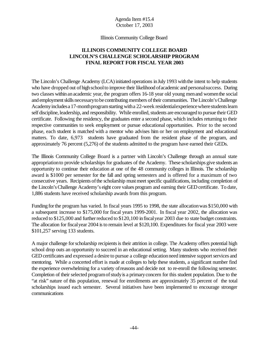#### Illinois Community College Board

# **ILLINOIS COMMUNITY COLLEGE BOARD LINCOLN'S CHALLENGE SCHOLARSHIP PROGRAM FINAL REPORT FOR FISCAL YEAR 2003**

The Lincoln's Challenge Academy (LCA) initiated operations in July 1993 with the intent to help students who have dropped out of high school to improve their likelihood of academic and personal success. During two classes within an academic year, the program offers 16-18 year old young men and women the social and employment skills necessary to be contributing members of their communities. The Lincoln's Challenge Academy includes a 17-month program starting with a 22-week residential experience where students learn self discipline, leadership, and responsibility. While enrolled, students are encouraged to pursue their GED certificate. Following the residency, the graduates enter a second phase, which includes returning to their respective communities to seek employment or pursue educational opportunities. Prior to the second phase, each student is matched with a mentor who advises him or her on employment and educational matters. To date, 6,973 students have graduated from the resident phase of the program, and approximately 76 percent (5,276) of the students admitted to the program have earned their GEDs.

The Illinois Community College Board is a partner with Lincoln's Challenge through an annual state appropriationto provide scholarships for graduates of the Academy. These scholarships give students an opportunity to continue their education at one of the 48 community colleges in Illinois. The scholarship award is \$1000 per semester for the fall and spring semesters and is offered for a maximum of two consecutive years. Recipients of the scholarship must meet specific qualifications, including completion of the Lincoln'sChallenge Academy's eight core values program and earning their GED certificate. To date, 1,886 students have received scholarship awards from this program.

Funding forthe program has varied. In fiscal years 1995 to 1998, the state allocationwas \$150,000 with a subsequent increase to \$175,000 for fiscal years 1999-2001. In fiscal year 2002, the allocation was reduced to \$125,000 and further reduced to \$120,100 in fiscal year 2003 due to state budget constraints. The allocation for fiscal year 2004 is to remain level at \$120,100. Expenditures for fiscal year 2003 were \$101,257 serving 133 students.

A major challenge for scholarship recipients is their attrition in college. The Academy offers potential high school drop outs an opportunity to succeed in an educational setting. Many students who received their GED certificates and expressed a desire to pursue a college education need intensive support services and mentoring. While a concerted effort is made at colleges to help these students, a significant number find the experience overwhelming for a variety ofreasons and decide not to re-enroll the following semester. Completion of their selected program of study is a primary concern for this student population. Due to the "at risk" nature of this population, renewal for enrollments are approximately 35 percent of the total scholarships issued each semester. Several initiatives have been implemented to encourage stronger communications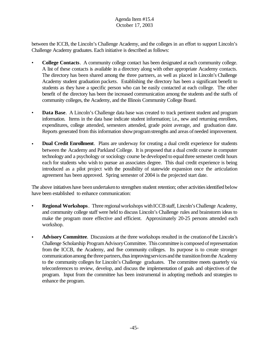between the ICCB, the Lincoln's Challenge Academy, and the colleges in an effort to support Lincoln's Challenge Academy graduates. Each initiative is described as follows:

- **College Contacts**. A community college contact has been designated at each community college. A list of these contacts is available in a directory along with other appropriate Academy contacts. The directory has been shared among the three partners, as well as placed in Lincoln's Challenge Academy student graduation packets. Establishing the directory has been a significant benefit to students as they have a specific person who can be easily contacted at each college. The other benefit of the directory has been the increased communication among the students and the staffs of community colleges, the Academy, and the Illinois Community College Board.
- **Data Base**. A Lincoln's Challenge data base was created to track pertinent student and program information. Items in the data base indicate student information; i.e., new and returning enrollees, expenditures, college attended, semesters attended, grade point average, and graduation date. Reports generated from this information show program strengths and areas of needed improvement.
- **Dual Credit Enrollment**. Plans are underway for creating a dual credit experience for students between the Academy and Parkland College. It is proposed that a dual credit course in computer technology and a psychology or sociology course be developed to equal three semester credit hours each for students who wish to pursue an associates degree. This dual credit experience is being introduced as a pilot project with the possibility of statewide expansion once the articulation agreement has been approved. Spring semester of 2004 is the projected start date.

The above initiatives have been undertaken to strengthen student retention; other activities identified below have been established to enhance communication:

- **Regional Workshops**. Three regional workshops with ICCB staff, Lincoln's Challenge Academy, and community college staff were held to discuss Lincoln's Challenge rules and brainstorm ideas to make the program more effective and efficient. Approximately 20-25 persons attended each workshop.
- **Advisory Committee**. Discussions at the three workshops resulted in the creation of the Lincoln's Challenge Scholarship ProgramAdvisoryCommittee. This committee is composed of representation from the ICCB, the Academy, and five community colleges. Its purpose is to create stronger communication among the three partners, thus improving services and the transition from the Academy to the community colleges for Lincoln's Challenge graduates. The committee meets quarterly via teleconferences to review, develop, and discuss the implementation of goals and objectives of the program. Input from the committee has been instrumental in adopting methods and strategies to enhance the program.